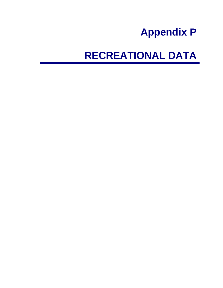## **Appendix P**

# **RECREATIONAL DATA**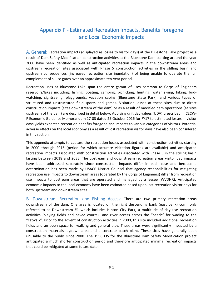### Appendix P ‐ Estimated Recreation Impacts, Benefits Foregone and Local Economic Impacts

A. General: Recreation impacts (displayed as losses to visitor days) at the Bluestone Lake project as a result of Dam Safety Modification construction activities at the Bluestone Dam starting around the year 2000 have been identified as well as anticipated recreation impacts in the downstream areas and upstream recreation sites associated with Phase 5 construction activities in the stilling basin and upstream consequences (increased recreation site inundation) of being unable to operate the full complement of sluice gates over an approximate ten‐year period.

 Recreation uses at Bluestone Lake span the entire gamut of uses common to Corps of Engineers reservoirs/lakes including: fishing, boating, camping, picnicking, hunting, water skiing, hiking, bird‐ watching, sightseeing, playgrounds, vacation cabins (Bluestone State Park), and various types of structured and unstructured field sports and games. Visitation losses at these sites due to direct construction impacts (sites downstream of the dam) or as a result of modified dam operations (at sites upstream of the dam) are described in detail below. Applying unit day values (UDV) prescribed in CECW‐ P Economic Guidance Memorandum 17‐03 dated 25 October 2016 for FY17 to estimated losses in visitor days yields expected recreation benefits foregone and impacts to various categories of visitors. Potential adverse effects on the local economy as a result of lost recreation visitor days have also been considered in this section.

 This appendix attempts to capture the recreation losses associated with construction activities starting in 2000 through 2015 (period for which accurate visitation figures are available) and anticipated recreation impacts associated with construction activities associated with Phase 5 in the stilling basin lasting between 2018 and 2033. The upstream and downstream recreation areas visitor day impacts have been addressed separately since construction impacts differ in each case and because a determination has been made by USACE District Counsel that agency responsibilities for mitigating recreation use impacts to downstream areas (operated by the Corps of Engineers) differ from recreation use impacts to upstream areas that are operated and managed by a lessee (WVDNR). Anticipated economic impacts to the local economy have been estimated based upon lost recreation visitor days for both upstream and downstream sites.

 B. Downstream Recreation and Fishing Access: There are two primary recreation areas downstream of the dam. One area is located on the right descending bank (east bank) commonly referred to as Downstream #1 which includes Hinton City Park, a multitude of day use recreation activities (playing fields and paved courts) and river access across the "beach" for wading to the "catwalk". Prior to the advent of construction activities in 2000, this site included additional recreation fields and an open space for walking and general play. These areas were significantly impacted by a construction materials laydown area and a concrete batch plant. These sites have generally been unusable to the public since 2000. The 1998 EIS for the Bluestone Dam Safety Modification project anticipated a much shorter construction period and therefore anticipated minimal recreation impacts that could be mitigated at some future date.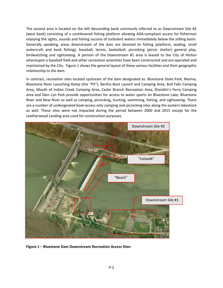The second area is located on the left descending bank commonly referred to as Downstream Site #2 (west bank) consisting of a cantilevered fishing platform allowing ADA‐compliant access for fisherman enjoying the sights, sounds and fishing success of turbulent waters immediately below the stilling basin. Generally speaking, areas downstream of the dam are devoted to fishing (platform, wading, small watercraft and bank fishing), baseball, tennis, basketball, picnicking (picnic shelter) general play, birdwatching and sightseeing. A portion of the Downstream #1 area is leased to the City of Hinton whereupon a baseball field and other recreation amenities have been constructed and are operated and maintained by the City. Figure 1 shows the general layout of these various facilities and their geographic relationship to the dam.

 In contrast, recreation sites located upstream of the dam designated as: Bluestone State Park, Marina, Bluestone River Launching Ramp (the "Pit"), Bertha Boat Launch and Camping Area, Bull Falls Camping Area, Mouth of Indian Creek Camping Area, Cedar Branch Recreation Area, Shanklin's Ferry Camping area and Glen Lyn Park provide opportunities for access to water sports on Bluestone Lake, Bluestone River and New River as well as camping, picnicking, hunting, swimming, fishing, and sightseeing. There are a number of undesignated boat‐access only camping and picnicking sites along the eastern lakeshore as well. These sites were not impacted during the period between 2000 and 2015 except for the Leatherwood Landing area used for construction purposes.



 **Figure 1 – Bluestone Dam Downstream Recreation Access Sites**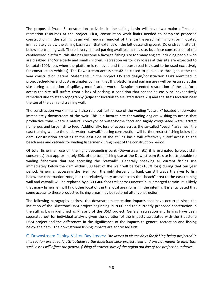The proposed Phase 5 construction activities in the stilling basin will have two major effects on recreation resources at the project. First, construction work limits needed to complete proposed construction in the stilling basin will require removal of the cantilevered fishing platform located immediately below the stilling basin weir that extends off the left descending bank (Downstream site #2) below the training wall. There is very limited parking available at this site, but since construction of the cantilevered platform, this site has become a favorite fishing site for many anglers including people who are disabled and/or elderly and small children. Recreation visitor day losses at this site are expected to be total (100% loss when the platform is removed and the access road is closed to be used exclusively for construction vehicles). The Downstream access site #2 be closed to public use throughout the ten year construction period. Statements in the project EIS and design/construction tasks identified in project schedules and costs estimates confirm that this platform and parking area will be restored at this site during completion of spillway modification work. Despite intended restoration of the platform access the site still suffers from a lack of parking, a condition that cannot be easily or inexpensively remedied due to steep topography (adjacent location to elevated Route 20) and the site's location near the toe of the dam and training wall.

 The construction work limits will also rule out further use of the wading "catwalk" located underwater immediately downstream of the weir. This is a favorite site for wading anglers wishing to access that productive zone where a natural conveyor of water‐borne food and highly oxygenated water attract numerous and large fish to feed. Additionally, loss of access across the so‐called "beach" area near the east training wall to the underwater "catwalk" during construction will further restrict fishing below the dam. Construction activities at the east side of the stilling basin will effectively cutoff access to the beach area and catwalk for wading fishermen during most of the construction period.

 Of total fishermen use on the right descending bank (Downstream #1) it is estimated (project staff consensus) that approximately 60% of the total fishing use at the Downstream #1 site is attributable to wading fishermen that are accessing the "catwalk". Generally speaking all current fishing use immediately below the dam within 300 feet of the weir will be lost (100% loss) during that ten year period. Fisherman accessing the river from the right descending bank can still wade the river to fish below the construction zone, but the relatively easy access across the "beach" area to the east training wall and catwalk will be replaced by a 300‐400 foot trek across uncertain, submerged terrain. It is likely that many fishermen will find other locations in the local area to fish in the interim. It is anticipated that some access to these productive fishing areas may be restored after construction.

 The following paragraphs address the downstream recreation impacts that have occurred since the initiation of the Bluestone DSM project beginning in 2000 and the currently proposed construction in the stilling basin identified as Phase 5 of the DSM project. General recreation and fishing have been separated out for individual analysis given the duration of the impacts associated with the Bluestone DSM project and the differences in the significance of the impacts to general recreation and fishing below the dam. The downstream fishing impacts are addressed first.

  C. Downstream Fishing Visitor Day Losses: *The losses in visitor days for fishing being projected in* this section are directly attributable to the Bluestone Lake project itself and are not meant to infer that such losses will affect the general fishing characteristics of the region outside of the project boundaries.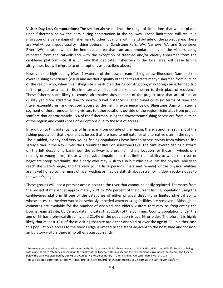**Visitor Day Loss Computations:** The section above outlines the range of limitations that will be placed upon fishermen below the dam during construction in the spillway. These limitations will result in migration of a percentage of fisherman to other locations within and outside of the project area. There are well–known, good‐quality fishing options (i.e. Sandstone Falls, WV, Narrows, VA, and Greenbrier River, WV) located within the immediate area that can accommodate many of the visitors being relocated from the catwalk and with the exception of disabled and/or elderly fishermen from the cantilever platform site. It is unlikely that dedicated fishermen in the local area will cease fishing altogether, but will migrate to other options as described above.

However, the high quality (Class 1 waters<sup>1</sup>) of the downstream fishing below Bluestone Dam and the overall fishing experience (visual and aesthetic quality of that site) attracts many fisherman from outside of the region who, when this fishing site is restricted during construction, may forego an extended trip to the project area just to fish in alternative sites not unlike sites nearer to their place of residence. These fisherman are likely to choose alternative sites outside of the project area that are of similar quality yet more attractive due to shorter travel distances. Higher travel costs (in terms of time and travel expenditures) and reduced access to the fishing experience below Bluestone Dam will steer a segment of these remote fishing visitors to other locations outside of the region. Estimates from project staff are that approximately 15% of the fisherman using the downstream fishing access are from outside of the region and could chose other options due to the loss of access.

 In addition to this potential loss of fisherman from outside of the region, there is another segment of the fishing population that experiences losses that are hard to mitigate for at alternative sites in the region. The disabled, elderly and very young fishing populations have limited access points from which to fish safely either in the New River, the Greenbrier River or Bluestone Lake. The cantilevered fishing platform on the left descending bank near the spillway is a premier fishing location for those in wheelchairs (elderly or young alike), those with physical impairments that limit their ability to wade the river or negotiate steep riverbanks, the elderly who may wish to fish but who have lost the physical ability to reach the water's edge, and the very young fisherpersons (male and female) whose physical abilities aren't yet honed to the rigors of river wading or may be skittish about scrambling down rocky slopes to the water's edge.

 These groups will lose a premier access point to the river that cannot be easily replaced. Estimates from the project staff are that approximately 20% to 25% percent of the current fishing population using the cantilevered platform fit one of the categories of either physical disability or limited physical ability whose access to the river would be seriously impeded when existing facilities are removed.<sup>2</sup> Although no estimates are available for the number of disabled and elderly visitors that may be frequenting the Downstream #1 site, US Census data indicates that 21.9% of the Summers County population under the age of 65 has a physical disability and 21.4% of the population is age 65 or older. Therefore It is highly likely that at least 10% of those visiting that site are either disabled or over the age of 65. In either case this population's access to the river's edge is limited to the steps adjacent to the boat slide and for non‐ ambulatory visitors there is no other access currently.

 $^1$  Entire lengths or reaches of rivers and streams in the State of West Virginia have been classified by the US Fish and Wildlife Service as being within one or more categories based upon the quality of the fishery, water quality and the environment surrounding the stream. The fishery below the dam was classified by USFWS as a Category 1 Resource fishery in their Planning Aid Letter dated March 2004

below the dam was classified by USFWS as a Category 1 Resource fishery in their Planning Aid Letter dated March 2004<br><sup>2</sup> Based upon a communication with BLN project staff regarding characteristics of visitors at the cantil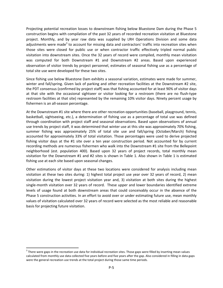Projecting potential recreation losses to downstream fishing below Bluestone Dam during the Phase 5 construction begins with compilation of the past 32 years of recorded recreation visitation at Bluestone project. Monthly, and by year raw data was supplied by LRH Operations Division and some data adjustments were made<sup>3</sup> to account for missing data and contractors' traffic into recreation sites when those sites were closed for public use or when contractor traffic effectively tripled normal public visitation into downstream sites. Once the 32 years of record were compiled, monthly mean visitation was computed for both Downstream #1 and Downstream #2 areas. Based upon experienced observation of visitor trends by project personnel, estimates of seasonal fishing use as a percentage of total site use were developed for these two sites.

 Since fishing use below Bluestone Dam exhibits a seasonal variation, estimates were made for summer, winter and fall/spring. Given lack of parking and other recreation facilities at the Downstream #2 site, the PDT consensus (confirmed by project staff) was that fishing accounted for at least 90% of visitor days at that site with the occasional sightseer or visitor looking for a restroom (there are no flush‐type restroom facilities at that site) represented by the remaining 10% visitor days. Ninety percent usage by fishermen is an all‐season percentage.

 At the Downstream #1 site where there are other recreation opportunities (baseball, playground, tennis, basketball, sightseeing, etc.), a determination of fishing use as a percentage of total use was defined through coordination with project staff and seasonal observations. Based upon observations of annual use trends by project staff, it was determined that winter use at this site was approximately 70% fishing, summer fishing was approximately 25% of total site use and fall/spring (October/March) fishing accounted for approximately 33% of total visitation. Those percentages were used to derive projected fishing visitor days at the #1 site over a ten year construction period. Not accounted for by current recording methods are numerous fishermen who walk into the Downstream #1 site from the Bellepoint neighborhood (est. population 400). Based upon 32 years of project records, total monthly mean visitation for the Downstream #1 and #2 sites is shown in Table 1. Also shown in Table 1 is estimated fishing use at each site based upon seasonal changes.

 Other estimations of visitor days at these two locations were considered for analysis including mean visitation at these two sites during: 1) highest total project use year over 32 years of record, 2) mean visitation during the lowest project visitation year and, 3) visitation at both sites during the highest single‐month visitation over 32 years of record. These upper and lower boundaries identified extreme levels of usage found at both downstream areas that could conceivably occur in the absence of the Phase 5 construction activities. In an effort to avoid over or under estimating future use, mean monthly values of visitation calculated over 32 years of record were selected as the most reliable and reasonable basis for projecting future visitation.

 $^3$  There were gaps in the recreation use data for individual recreation sites. Those gaps were filled by inserting mean values calculated from monthly use data collected five years before and five years after the gap. Also considered in filling in data gaps were the general recreation use trends at the total project during those same time periods.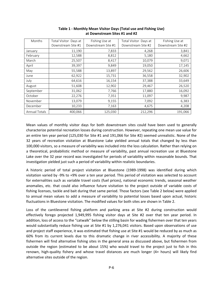| Months               | Total Visitor Days at | Fishing Use at     | Total Visitor Days at | Fishing Use at     |
|----------------------|-----------------------|--------------------|-----------------------|--------------------|
|                      | Downstream Site #1    | Downstream Site #1 | Downstream Site #2    | Downstream Site #2 |
| January              | 11,190                | 7,833              | 4,268                 | 3,841              |
| February             | 12,588                | 8,812              | 5,180                 | 4,662              |
| March                | 25,507                | 8,417              | 10,079                | 9,071              |
| April                | 39,397                | 9,849              | 19,050                | 17,145             |
| May                  | 55,588                | 13,897             | 29,562                | 26,606             |
| June                 | 62,922                | 15,731             | 36,558                | 32,902             |
| July                 | 64,616                | 16,154             | 37,388                | 33,649             |
| August               | 51,608                | 12,902             | 29,467                | 26,520             |
| September            | 31,062                | 7,766              | 17,880                | 16,092             |
| October              | 22,276                | 7,351              | 11,097                | 9,987              |
| November             | 13,079                | 9,155              | 7,092                 | 6,383              |
| December             | 10,233                | 7,163              | 4,675                 | 4,208              |
| <b>Annual Totals</b> | 400,066               | 125,030            | 212,296               | 191,066            |

 **Table 1 ‐ Monthly Mean Visitor Days (Total use and Fishing Use) at Downstream Sites #1 and #2**

 Mean values of monthly visitor days for both downstream sites could have been used to generally characterize potential recreation losses during construction. However, repeating one mean use value for an entire ten year period (125,030 for Site #1 and 191,066 for Site #2) seemed unrealistic. None of the 32 years of recreation visitation at Bluestone Lake yielded annual totals that changed by less than 100,000 visitors, so a measure of variability was included into the loss calculation. Rather than relying on a theoretical, probabilistic method or measure of variability, past annual recreation use at Bluestone Lake over the 32 year record was investigated for periods of variability within reasonable bounds. That investigation yielded just such a period of variability within realistic boundaries.

 A historic period of total project visitation at Bluestone (1989‐1998) was identified during which visitation varied by ‐9% to +9% over a ten year period. This period of visitation was selected to account for externalities such as variable travel costs (fuel prices), national economic trends, seasonal weather anomalies, etc. that could also influence future visitation to the project outside of variable costs of fishing licenses, tackle and bait during that same period. Those factors (see Table 2 below) were applied to annual mean values to add a measure of variability to potential losses based upon actual, historic fluctuations in Bluestone visitation. The modified values for both sites are shown in Table 2.

 Loss of the cantilevered fishing platform and parking area at Site #2 during construction would effectively forego projected 1,949,995 fishing visitor days at Site #2 over that ten year period. In addition, loss of access to the "catwalk" below the stilling basin for wading fishermen over that ten years would substantially reduce fishing use at Site #1 by 1,276,041 visitors. Based upon observations of use and project staff experience, it was estimated that fishing use at Site #1 would be reduced by as much as 60% from its current levels due to this dramatic change in river accessibility. A majority of these fishermen will find alternative fishing sites in the general area as discussed above, but fishermen from outside the region (estimated to be about 15%) who would travel to the project just to fish in this renown, high‐quality fishery and whose travel distances are much longer (4+ hours) will likely find alternative sites outside of the region.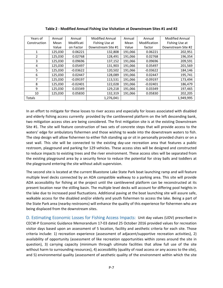| Years of      | Annual  | Annual     | <b>Modified Annual</b> | Annual  | Annual       | <b>Modified Annual</b> |
|---------------|---------|------------|------------------------|---------|--------------|------------------------|
|               | Mean    | Modificati |                        |         | Modification |                        |
| Construction  |         |            | Fishing Use at         | Mean    |              | Fishing Use at         |
|               | Value   | on Factor  | Downstream Site #1     | Value   | factor       | Downstream Site #2     |
|               | 125,030 | 0.06221    | 132,808                | 191,066 | 0.06221      | 202,951                |
| 2             | 125,030 | 0.02768    | 128,491                | 191,066 | 0.02768      | 196,354                |
| 3             | 125,030 | 0.09696    | 137,152                | 191,066 | 0.09696      | 209,591                |
| 4             | 125,030 | 0.05497    | 131,903                | 191,066 | 0.05497      | 201,569                |
| 5             | 125,030 | $-0.03622$ | 120,502                | 191,066 | $-0.03622$   | 184,146                |
| 6             | 125,030 | 0.02447    | 128,089                | 191,066 | 0.02447      | 195,741                |
| 7             | 125,030 | $-0.09197$ | 113,531                | 191,066 | $-0.09197$   | 173,494                |
| 8             | 125,030 | $-0.02401$ | 122,028                | 191,066 | $-0.02401$   | 186,479                |
| 9             | 125,030 | 0.03349    | 129,218                | 191,066 | 0.03349      | 197,465                |
| 10            | 125,030 | 0.05830    | 132,319                | 191,066 | 0.05830      | 202,205                |
| <b>Totals</b> |         |            | 1,276,041              |         |              | 1,949,995              |

 **Table 2 ‐ Modified Annual Fishing Use Visitation at Downstream Sites #1 and #2**

 In an effort to mitigate for these losses to river access and especially for losses associated with disabled and elderly fishing access currently provided by the cantilevered platform on the left descending bank, two mitigation access sites are being considered. The first mitigation site is at the existing Downstream Site #1. The site will feature construction of two sets of concrete steps that will provide access to the waters' edge for ambulatory fishermen and those wishing to wade into the downstream waters to fish. The step design will allow fishermen to either fish standing up or sit in personally provided chairs or on a seat wall. This site will be connected to the existing day‐use recreation area that features a public restroom, playground and parking for 129 vehicles. These access sites will be designed and constructed to reduce impacts to existing trees and the river environment. These access sites will be separated from the existing playground area by a security fence to reduce the potential for stray balls and toddlers at the playground entering the site without adult supervision.

 The second site is located at the current Bluestone Lake State Park boat launching ramp and will feature multiple level decks connected by an ADA compatible walkway to a parking area. This site will provide ADA accessibility for fishing at the project until the cantilevered platform can be reconstructed at its present location near the stilling basin. The multiple level decks will account for differing pool heights in the lake due to increased pool fluctuations. Additional paving at the boat launching site will assure safe, walkable access for the disabled and/or elderly and youth fishermen to access the lake. Being a part of the State Park area (nearby restrooms) will enhance the quality of this experience for fishermen who are being displaced from the downstream sites.

 D. Estimating Economic Losses for Fishing Access Impacts: Unit day values (UDV) prescribed in CECW‐P Economic Guidance Memorandum 17‐03 dated 25 October 2016 provided values for recreation visitor days based upon an assessment of 5 location, facility and aesthetic criteria for each site. Those criteria include: 1) recreation experience (assessment of adjacent/supportive recreation activities), 2) availability of opportunity (assessment of like recreation opportunities within zones around the site in question), 3) carrying capacity (minimum through ultimate facilities that allow full use of the site without harm to surrounding resources), 4) accessibility (quality of road access or any access to the site), and 5) environmental quality (assessment of aesthetic quality of the environment within which the site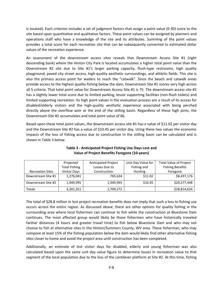is located). Each criterion includes a set of judgment factors that assign a point value (0‐30) score to the site based upon quantitative and qualitative factors. These point values can be assigned by planners and operations staff who have a knowledge of the site and its attributes. Summing of the point values provides a total score for each recreation site that can be subsequently converted to estimated dollar values of the recreation experience.

 An assessment of the downstream access sites reveals that Downstream Access Site #1 (right descending bank) where the Hinton City Park is located accumulates a higher total point value than the Downstream #2 site due to Site #1's larger parking capacity, flush-type restrooms, high quality playground, paved city street access, high‐quality aesthetic surroundings, and athletic fields. This site is also the primary access point for waders to reach the "catwalk". Since the beach and catwalk areas provide access to the highest quality fishing below the dam, Downstream Site #1 scores very high across all 5 criteria. That total point value for Downstream Access Site #1 is 75. The downstream access site #2 has a slightly lower total score due to limited parking, lessor supporting facilities (non‐flush toilets) and limited supporting recreation. Its high point values in the evaluation process are a result of its access for disabled/elderly visitors and the high‐quality aesthetic experience associated with being perched directly above the overflow weir at the end of the stilling basin. Regardless of these high pints, the Downstream Site #2 accumulates and total point value of 66.

 Based upon these total point values, the downstream access site #1 has a value of \$11.02 per visitor day and the Downstream Site #2 has a value of \$10.45 per visitor day. Using these two values the economic impacts of the loss of fishing access due to construction in the stilling basin can be calculated and is shown in Table 3 below.

|                         | Projected            | <b>Anticipated Project</b> | Unit Day Value for | <b>Total Value of Project</b> |
|-------------------------|----------------------|----------------------------|--------------------|-------------------------------|
|                         | <b>Total Fishing</b> | Losses Due to              | Fishing and        | <b>Fishing Benefits</b>       |
| <b>Recreation Sites</b> | <b>Visitor Days</b>  | Construction               | <b>Hunting</b>     | Foregone                      |
| Downstream Site #1      | 1,276,041            | 765,624                    | \$11.02            | \$8,437,176                   |
| Downstream Site #2      | 1,949,995            | 1,949,995                  | \$10.45            | \$20,377,448                  |
| Totals                  | 3,201,351            | 2,709,272                  |                    | \$28,814,624                  |

**Table 3 ‐ Anticipated Project Fishing Use Days Lost and Value of Project Benefits Foregone (10‐years)**

 The total of \$28.8 million in lost project recreation benefits does not imply that such a loss to fishing use occurs across the entire region. As discussed above, there are other options for quality fishing in the surrounding area where local fishermen can continue to fish while the construction at Bluestone Dam continues. The most affected group would likely be those fishermen who have historically traveled farther distances (4 hours and greater travel time) to fish below Bluestone Dam and who may not choose to fish at alternative sites in the Hinton/Summers County, WV area. These fisherman, who may compose at least 15% of the fishing population below the dam would likely find other alternative fishing sites closer to home and avoid the project area until construction has been completed.

 Additionally, an estimate of lost visitor days for disabled, elderly and young fisherman was also calculated based upon the same unit day value figure to determine losses in recreation value to that segment of the local population due to the loss of the cantilever platform at Site #2. At this time, fishing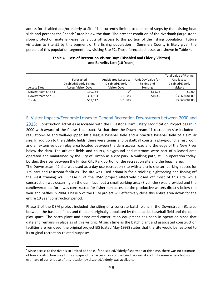access for disabled and/or elderly at Site #1 is currently limited to one set of steps by the existing boat slide and perhaps the "beach" area below the dam. The present condition of the riverbank (large stone slope protection material) essentially cuts off access to this portion of the fishing population. Future visitation to Site #1 by this segment of the fishing population in Summers County is likely given the percent of this population segment now visiting Site #2. Those forecasted losses are shown in Table 4.

|                     |                            |                       |                    | <b>Total Value of Fishing</b> |
|---------------------|----------------------------|-----------------------|--------------------|-------------------------------|
|                     | Forecasted                 | Anticipated Losses to | Unit Day Value for | Use lost to                   |
|                     | Disabled/Elderly Fishing   | Disabled/Elderly      | Fishing and        | Disabled/Elderly              |
| <b>Access Sites</b> | <b>Access Visitor Days</b> | <b>Visitor Days</b>   | <b>Hunting</b>     | visitors                      |
| Downstream Site #1  | 130,164                    |                       | \$11.06            | \$0.00                        |
| Downstream Site 32  | 381,983                    | 381,983               | \$10.45            | \$3,560,081.00                |
| Totals              | 512,147                    | 381,983               |                    | \$3,560,081.00                |

#### **Table 4 – Loss of Recreation Visitor Days (Disabled and Elderly Visitors) and Benefits Lost (10‐Years)**

#### E. Visitor Impacts/Economic Losses to General Recreation Downstream between 2000 and

2015: Construction activities associated with the Bluestone Dam Safety Modification Project began in 2000 with award of the Phase 1 contract. At that time the Downstream #1 recreation site included a regulation‐size and well‐equipped little league baseball field and a practice baseball field of a similar size. In addition to the athletic fields, there were tennis and basketball courts, a playground, a rest room and an extensive open play area located between the dam access road and the edge of the New River below the dam. The athletic fields and courts, playground and restroom were part of a leased area operated and maintained by the City of Hinton as a city park. A walking path, still in operation today, borders the river between the Hinton City Park portion of the recreation site and the beach area.

 The Downstream #2 site was used as a day‐use recreation site with a picnic shelter, parking spaces for 129 cars and restroom facilities. The site was used primarily for picnicking, sightseeing and fishing off the west training wall. Phase 1 of the DSM project effectively closed off most of this site while construction was occurring on the dam face, but a small parking area (8 vehicles) was provided and the cantilevered platform was constructed for fishermen access to the productive waters directly below the weir and baffles in 2004. Phase 5 of the DSM project will effectively close this entire area down for the entire 10 year construction period.

 Phase 1 of the DSM project included the siting of a concrete batch plant in the Downstream #1 area between the baseball fields and the dam originally populated by the practice baseball field and the open play space. The batch plant and associated construction equipment has been in operation since that date and remains in place as of this writing. At such time as the batch plant and associated construction facilities are removed, the original project EIS (dated May 1998) states that the site would be restored to its original recreation‐related purposes.

 $^4$  Since access to the river is so limited at Site #1 for disabled/elderly fishermen at this time, there was no estimate of how construction may limit or suspend that access. Loss of the beach access likely limits some access but no estimate of current use of this location by disabled/elderly was available.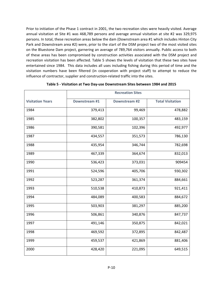Prior to initiation of the Phase 1 contract in 2001, the two recreation sites were heavily visited. Average annual visitation at Site #1 was 468,789 persons and average annual visitation at site #2 was 329,975 persons. In total, these recreation areas below the dam (Downstream area #1 which includes Hinton City Park and Downstream area #2) were, prior to the start of the DSM project two of the most visited sites on the Bluestone Dam project, garnering an average of 789,764 visitors annually. Public access to both of these areas has been compromised by construction activities associated with the DSM project and recreation visitation has been affected. Table 5 shows the levels of visitation that these two sites have entertained since 1984. This data includes all uses including fishing during this period of time and the visitation numbers have been filtered (in cooperation with project staff) to attempt to reduce the influence of contractor, supplier and construction‐related traffic into the sites.

|                         |               | <b>Recreation Sites</b> |                         |
|-------------------------|---------------|-------------------------|-------------------------|
| <b>Visitation Years</b> | Downstream #1 | Downstream #2           | <b>Total Visitation</b> |
| 1984                    | 379,413       | 99,469                  | 478,882                 |
| 1985                    | 382,802       | 100,357                 | 483,159                 |
| 1986                    | 390,581       | 102,396                 | 492,977                 |
| 1987                    | 434,557       | 351,573                 | 786,130                 |
| 1988                    | 435,954       | 346,744                 | 782,698                 |
| 1989                    | 467,339       | 364,674                 | 832,013                 |
| 1990                    | 536,423       | 373,031                 | 909454                  |
| 1991                    | 524,596       | 405,706                 | 930,302                 |
| 1992                    | 523,287       | 361,374                 | 884,661                 |
| 1993                    | 510,538       | 410,873                 | 921,411                 |
| 1994                    | 484,089       | 400,583                 | 884,672                 |
| 1995                    | 503,903       | 381,297                 | 885,200                 |
| 1996                    | 506,861       | 340,876                 | 847,737                 |
| 1997                    | 491,146       | 350,875                 | 842,021                 |
| 1998                    | 469,592       | 372,895                 | 842,487                 |
| 1999                    | 459,537       | 421,869                 | 881,406                 |
| 2000                    | 428,420       | 221,095                 | 649,515                 |

 **Table 5 ‐ Visitation at Two Day‐use Downstream Sites between 1984 and 2015**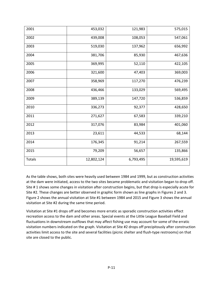| 2001          | 453,032    | 121,983   | 575,015    |
|---------------|------------|-----------|------------|
| 2002          | 439,008    | 108,053   | 547,061    |
| 2003          | 519,030    | 137,962   | 656,992    |
| 2004          | 381,706    | 85,930    | 467,636    |
| 2005          | 369,995    | 52,110    | 422,105    |
| 2006          | 321,600    | 47,403    | 369,003    |
| 2007          | 358,969    | 117,270   | 476,239    |
| 2008          | 436,466    | 133,029   | 569,495    |
| 2009          | 389,139    | 147,720   | 536,859    |
| 2010          | 336,273    | 92,377    | 428,650    |
| 2011          | 271,627    | 67,583    | 339,210    |
| 2012          | 317,076    | 83,984    | 401,060    |
| 2013          | 23,611     | 44,533    | 68,144     |
| 2014          | 176,345    | 91,214    | 267,559    |
| 2015          | 79,209     | 56,657    | 135,866    |
| <b>Totals</b> | 12,802,124 | 6,793,495 | 19,595,619 |

 As the table shows, both sites were heavily used between 1984 and 1999, but as construction activities at the dam were initiated, access to the two sites became problematic and visitation began to drop off. Site # 1 shows some changes in visitation after construction begins, but that drop is especially acute for Site #2. These changes are better observed in graphic form shown as line graphs in Figures 2 and 3. Figure 2 shows the annual visitation at Site #1 between 1984 and 2015 and Figure 3 shows the annual visitation at Site #2 during the same time period.

 Visitation at Site #1 drops off and becomes more erratic as sporadic construction activities effect recreation access to the dam and other areas. Special events at the Little League Baseball Field and fluctuations in downstream outflows that may affect fishing use may account for some of the erratic visitation numbers indicated on the graph. Visitation at Site #2 drops off precipitously after construction activities limit access to the site and several facilities (picnic shelter and flush‐type restrooms) on that site are closed to the public.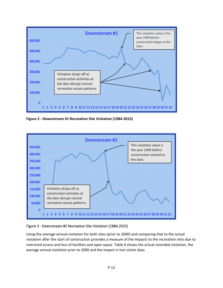

 **Figure 2 ‐ Downstream #1 Recreation Site Visitation (1984‐2015)**



#### Figure 3 ‐ Downstream #2 Recreation Site Visitation (1984‐2015)

 Using the average annual visitation for both sites (prior to 2000) and comparing that to the actual visitation after the start of construction provides a measure of the impacts to the recreation sites due to restricted access and loss of facilities and open space. Table 6 shows the actual recorded visitation, the average annual visitation prior to 2000 and the impact in lost visitor days.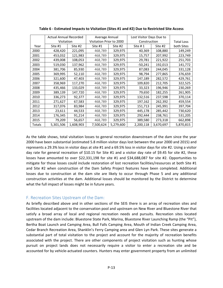|        | <b>Actual Annual Recorded</b> |           | Average Annual           |           | Lost Visitor Days Due to |           |                   |
|--------|-------------------------------|-----------|--------------------------|-----------|--------------------------|-----------|-------------------|
|        | Visitation                    |           | Visitation Prior to 2000 |           | Construction             |           | <b>Total Loss</b> |
| Year   | Site #1                       | Site #2   | Site #1                  | Site #2   | Site $# 1$               | Site #2   | both Sites        |
| 2000   | 428,420                       | 221,095   | 468,789                  | 329,975   | 40,369                   | 108,880   | 149,249           |
| 2001   | 453,032                       | 121,983   | 468,789                  | 329,975   | 15,757                   | 207,992   | 223,749           |
| 2002   | 439,008                       | 108,053   | 468,789                  | 329,975   | 29,781                   | 221,922   | 251,703           |
| 2003   | 519,030                       | 137,962   | 468,789                  | 329,975   | $-50,241$                | 192,013   | 141,772           |
| 2004   | 381,706                       | 85,930    | 468,789                  | 329,975   | 87,083                   | 244,045   | 331,128           |
| 2005   | 369,995                       | 52,110    | 468,789                  | 329,975   | 98,794                   | 277,865   | 376,659           |
| 2006   | 321,600                       | 47,403    | 468,789                  | 329,975   | 147,189                  | 282,572   | 429,761           |
| 2007   | 358,969                       | 117,270   | 468,789                  | 329,975   | 109,820                  | 212,705   | 322,525           |
| 2008   | 435,466                       | 133,029   | 468,789                  | 329,975   | 33,323                   | 196,946   | 230,269           |
| 2009   | 389,139                       | 147,720   | 468,789                  | 329,975   | 79,650                   | 182,255   | 261,905           |
| 2010   | 336,273                       | 92,377    | 468,789                  | 329,975   | 132,516                  | 237,598   | 370,114           |
| 2011   | 271,627                       | 67,583    | 468,789                  | 329,975   | 197,162                  | 262,392   | 459,554           |
| 2012   | 317,076                       | 83,984    | 468,789                  | 329,975   | 151,713                  | 245,991   | 397,704           |
| 2013   | 23,611                        | 44,533    | 468,789                  | 329,975   | 445,178                  | 285,442   | 730,620           |
| 2014   | 176,345                       | 91,214    | 468,789                  | 329,975   | 292,444                  | 238,761   | 531,205           |
| 2015   | 79,209                        | 56,657    | 468,789                  | 329,975   | 389,580                  | 273,318   | 662,898           |
| Totals | 5,301,506                     | 1,608,903 | 7,500,624                | 5,279,600 | 2,200,118                | 3,670,697 | 5,870,815         |

Table 6 - Estimated Impacts to Visitation (Sites #1 and #2) Due to Restricted Site Access

 As the table shows, total visitation losses to general recreation downstream of the dam since the year 2000 have been substantial (estimated 5.8 million visitor days lost between the year 2000 and 2015) and represents a 29.3% loss in visitor days at site #1 and a 69.5% loss in visitor days for site #2. Using a visitor day rate for general recreation of \$10.15 for Site #1 and a visitor day rate of \$9.45 for site #2, these losses have amounted to over \$22,331,198 for site #1 and \$34,688,087 for site #2. Opportunities to mitigate for those losses could include restoration of lost recreation facilities/resources at both Site #1 and Site #2 when construction of the Dam Safety Project features have been completed. Additional losses due to construction at the dam site are likely to occur through Phase 5 and any additional construction activities at the dam. Additional losses should be monitored by the District to determine what the full impact of losses might be in future years.

#### F. Recreation Sites Upstream of the Dam:

 As briefly described above and in other sections of the SEIS there is an array of recreation sites and facilities located adjacent to the conservation pool and upstream on New River and Bluestone River that satisfy a broad array of local and regional recreation needs and pursuits. Recreation sites located upstream of the dam include: Bluestone State Park, Marina, Bluestone River Launching Ramp (the "Pit"), Bertha Boat Launch and Camping Area, Bull Falls Camping Area, Mouth of Indian Creek Camping Area, Cedar Branch Recreation Area, Shanklin's Ferry Camping area and Glen Lyn Park. These sites generate a substantial part of total visitation to the project and account for the majority of recreation benefits associated with the project. There are other components of project visitation such as hunting whose pursuit on project lands does not necessarily require a visitor to enter a recreation site and be accounted for by vehicle‐actuated counters. Hunters may enter government property from an unlimited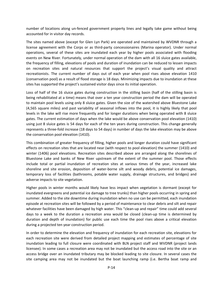number of locations along un‐fenced government property lines and legally take game without being accounted for in visitor day records.

 The sites named above (except for Glen Lyn Park) are operated and maintained by WVDNR through a license agreement with the Corps or as third‐party concessionaires (Marina operator). Under normal operations, several of these sites are inundated each year by higher pools associated with flooding events on New River. Fortunately, under normal operation of the dam with all 16 sluice gates available, the frequency of filling, elevations of pools and duration of inundation can be reduced to lessen impacts on recreation sites and natural resources that support the project's visual quality and attract recreationists. The current number of days out of each year when pool rises above elevation 1410 (conservation pool) as a result of flood storage is 18 days. Minimizing impacts due to inundation at these sites has supported the project's sustained visitor days since its initial operation.

 Loss of half of the 16 sluice gates during construction in the stilling basin (half of the stilling basin is being rehabilitated at a time) means that over a ten year construction period the dam will be operated to maintain pool levels using only 8 sluice gates. Given the size of the watershed above Bluestone Lake (4,565 square miles) and past variability of seasonal inflows into the pool, it is highly likely that pool levels in the lake will rise more frequently and for longer durations when being operated with 8 sluice gates. The current estimation of days when the lake would be above conservation pool elevation (1410) using just 8 sluice gates is 54 days for each of the ten years during construction. This change generally represents a three‐fold increase (18 days to 54 days) in number of days the lake elevation may be above the conservation pool elevation (1410).

 This combination of greater frequency of filling, higher pools and longer duration could have significant effects on recreation sites that are located near (with respect to pool elevation) the summer (1410) and winter (1406) pool elevations. Recreation sites described above are arranged along the shorelines of Bluestone Lake and banks of New River upstream of the extent of the summer pool. Those effects include total or partial inundation of recreation sites at various times of the year, increased lake shoreline and site erosion, deposition of water‐borne silt and woody debris, potential ice damages, temporary loss of facilities (bathrooms, potable water supply, drainage structures, and bridges) and adverse impacts to site vegetation.

 Higher pools in winter months would likely have less impact when vegetation is dormant (except for inundated evergreens and potential ice damage to tree trunks) than higher pools occurring in spring and summer. Added to the site downtime during inundation when no use can be permitted, each inundation episode at recreation sites will be followed by a period of maintenance to clear debris and silt and repair whatever facilities have been damaged by high water. This "clean‐up and repair" time could add several days to a week to the duration a recreation area would be closed (clean‐up time is determined by duration and depth of inundation) for public use each time the pool rises above a critical elevation during a projected ten year construction period.

 In order to determine the elevation and frequency of inundation for each recreation site, elevations for each recreation site were derived from detailed project mapping and estimates of percentage of site inundation leading to full closure were coordinated with BLN project staff and WVDNR (project lands licensee). In some cases a recreation area may not be inundated but the access road into the site or an access bridge over an inundated tributary may be blocked leading to site closure. In several cases the site camping area may not be inundated but the boat launching ramp (i.e. Bertha boat ramp and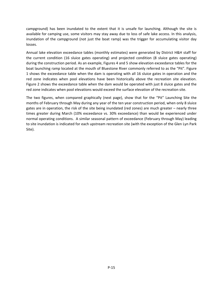campground) has been inundated to the extent that it is unsafe for launching. Although the site is available for camping use, some visitors may stay away due to loss of safe lake access. In this analysis, inundation of the campground (not just the boat ramp) was the trigger for accumulating visitor day losses.

 Annual lake elevation exceedance tables (monthly estimates) were generated by District H&H staff for the current condition (16 sluice gates operating) and projected condition (8 sluice gates operating) during the construction period. As an example, Figures 4 and 5 show elevation exceedance tables for the boat launching ramp located at the mouth of Bluestone River commonly referred to as the "Pit". Figure 1 shows the exceedance table when the dam is operating with all 16 sluice gates in operation and the red zone indicates when pool elevations have been historically above the recreation site elevation. Figure 2 shows the exceedance table when the dam would be operated with just 8 sluice gates and the red zone indicates when pool elevations would exceed the surface elevation of the recreation site.

 The two figures, when compared graphically (next page), show that for the "Pit" Launching Site the months of February through May during any year of the ten year construction period, when only 8 sluice gates are in operation, the risk of the site being inundated (red zones) are much greater – nearly three times greater during March (10% exceedance vs. 30% exceedance) than would be experienced under normal operating conditions. A similar seasonal pattern of exceedance (February through May) leading to site inundation is indicated for each upstream recreation site (with the exception of the Glen Lyn Park Site).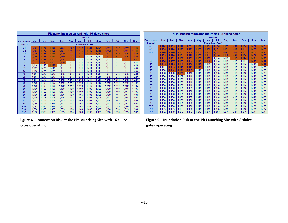| Pit launching area current risk - 16 sluice gates |       |       |            |       |       |       |                          |       |            |       |            |            |  |
|---------------------------------------------------|-------|-------|------------|-------|-------|-------|--------------------------|-------|------------|-------|------------|------------|--|
|                                                   |       |       |            |       |       |       | <b>Months</b>            |       |            |       |            |            |  |
| Exceedance                                        | Jan   | Feb   | <b>Mar</b> | Apr   | May   | Jun   | Jul                      | Aug   | <b>Sep</b> | Oct   | <b>Nov</b> | <b>Dec</b> |  |
| Interval                                          |       |       |            |       |       |       | <b>Elevation In Feet</b> |       |            |       |            |            |  |
| 0.1                                               | 1.491 | 1.478 | 1,488      | .503  | 1.450 | .449  | 1,421                    | 1,424 | 1.448      | 1,439 | 1.460      | 1.446      |  |
| 0.2                                               | 1.483 | 1.473 | 1.485      | 1.494 | 1.447 | 1.445 | 1.418                    | 1.418 | 1.442      | 1.431 | 1.451      | 1.444      |  |
| 0.5                                               | 1.466 | 1.466 | 1.479      | 1.479 | .435  | 1.428 | 1.412                    | 1.412 | .423       | 1.420 | 1.436      | 1.442      |  |
|                                                   | .446  | .446  | 1.470      | 1.459 | .425  | 1.417 | 1.411                    | 1.411 | .413       | 1.413 | 1.416      | 1,430      |  |
| $\overline{2}$                                    | 1.428 | 1,429 | 1,452      | 1.434 | 1.418 | 1,411 | 1.411                    | 1.411 | 1.411      | 1.411 | 1.412      | 1.417      |  |
| 5                                                 | 1.413 | 1.415 | 1.433      | 1.418 | 1,411 | 1.411 | 1.411                    | 1.411 | 1,411      | 1,411 | 1.411      | 1,411      |  |
| 10                                                | 1,410 | 1,410 | 1,415      | 1,411 | 1.411 | 1.411 | 1.411                    | 1.411 | 1,411      | 1.411 | 1,411      | 1,410      |  |
| 15                                                | 1.409 | 1.409 | 1.410      | 1.411 | 1.411 | 1,411 | 1.411                    | 1,411 | 1.411      | 1.411 | 1.411      | 1.409      |  |
| 20                                                | 1.408 | 1.408 | 1.409      | 1,411 | 1,411 | 1.411 | 1.411                    | 1.411 | 1,411      | 1.411 | 1.411      | 1.409      |  |
| 30                                                | 1,407 | 1.407 | 1.407      | 1.410 | 1.410 | 1,411 | 1,411                    | 1,411 | 1,411      | 1,410 | 1,410      | 1.408      |  |
| 40                                                | 1.407 | 1.407 | 1.407      | 1.410 | 1.410 | 1.410 | 1.410                    | 1.410 | 1.410      | 1.410 | 1,410      | 1.407      |  |
| 50                                                | 1.407 | 1.407 | 1.407      | 1.410 | 1,410 | 1,410 | 1.410                    | 1,410 | 1,410      | 1,410 | 1,410      | 1,407      |  |
| 60                                                | 1.406 | 1.406 | 1.407      | 1.410 | 1.410 | 1.410 | 1.410                    | 1.410 | 1.410      | 1.410 | 1,410      | 1.407      |  |
| 70                                                | 1.406 | 1.406 | 1.406      | 1.409 | 1,410 | 1,410 | 1,410                    | 1,410 | 1,410      | 1.410 | 1,409      | 1,406      |  |
| 80                                                | 1.406 | 1.406 | 1.406      | 1.408 | 1.409 | 1,409 | 1.409                    | 1.409 | 1.409      | 1.409 | 1.408      | 1.406      |  |
| 85                                                | 1.406 | 1.406 | 1.406      | 1.407 | 1.409 | 1,409 | 1.409                    | 1.409 | 1,409      | 1.409 | 1.407      | 1,406      |  |
| 90                                                | 1,406 | 1,406 | 1.406      | 1.406 | 1.409 | 1,408 | 1,409                    | 1,409 | 1,409      | 1,408 | 1,407      | 1.406      |  |
| 95                                                | 1.405 | 1.405 | 1.405      | 1.406 | 1.407 | 1.407 | 1.408                    | 1.408 | 1.408      | 1.405 | 1.404      | 1.404      |  |
| 98                                                | 1.402 | 1.404 | 1,404      | 1.402 | 1,402 | 1,402 | 1.404                    | 1,407 | 1,406      | 1.402 | 1,402      | 1.402      |  |
| 99                                                | 1.398 | 1.401 | 1.398      | 1.401 | 1.402 | 1.401 | 1.401                    | 1.401 | 1,402      | 1.399 | 1.401      | 1.401      |  |
| 99.5                                              | 1.397 | 1.398 | 1.396      | 1.401 | 1.401 | 1.401 | 1.400                    | 1.400 | 1.401      | 1.399 | 1.400      | 1.399      |  |
| 99.8                                              | 1,396 | 1.396 | 1.395      | 1,399 | 1.400 | 1,400 | 1,400                    | 1.399 | 1,400      | 1.398 | 1.399      | 1.398      |  |
| 99.9                                              | 1.396 | 1.396 | 1.395      | 1.399 | 1.400 | 1.400 | 1.399                    | 1.399 | 1.400      | 1.398 | 1.399      | 1.397      |  |

|                | Pit launching ramp area future risk - 8 sluice gates |       |            |            |       |       |                         |       |            |       |            |            |  |  |
|----------------|------------------------------------------------------|-------|------------|------------|-------|-------|-------------------------|-------|------------|-------|------------|------------|--|--|
|                |                                                      |       |            |            |       |       | <b>Months</b>           |       |            |       |            |            |  |  |
| Exceedance     | Jan                                                  | Feb   | <b>Mar</b> | <b>Apr</b> | May   | Jun   | Jul                     | Aug   | <b>Sep</b> | Oct   | <b>Nov</b> | <b>Dec</b> |  |  |
| Interval       |                                                      |       |            |            |       |       | <b>Elevation (Feet)</b> |       |            |       |            |            |  |  |
| 0.1            | 1.494                                                | 1.483 | .499       | 1.501      | 1.475 | 1.464 | 1.435                   | .437  | 1.452      | 1.455 | 1.469      | 1.454      |  |  |
| 0.2            | 1.485                                                | 1,478 | 1.493      | .493       | 1,463 | 1.460 | 1.432                   | .431  | 1.449      | 1.449 | 1.467      | 1.450      |  |  |
| 0.5            | 1.470                                                | 1.476 | 1.485      | 1,490      | 1,457 | 1.456 | 1,427                   | .423  | 1.441      | 1.442 | 1.456      | 1.445      |  |  |
|                | 1.463                                                | 1.470 | 1.481      | 1,479      | 1,452 | 1.441 | 1.416                   | .418  | 1.431      | 1.436 | 1.436      | 1,438      |  |  |
| $\overline{2}$ | 1.441                                                | 1.451 | 1.468      | 1.459      | 1.439 | 1.432 | 1.410                   | 1.410 | 1.415      | 1.420 | 1.421      | 1,429      |  |  |
| 5              | 1.425                                                | 1.437 | 1.457      | .444       | 1.427 | 1.416 | 1.410                   | 1.410 | 1.410      | 1.411 | .413       | 1.419      |  |  |
| 10             | 1.415                                                | 1.425 | .440       | .430       | 1.417 | 1.410 | 1.410                   | 1.410 | 1.410      | 1.410 | 1.410      | 1.412      |  |  |
| 15             | 1.411                                                | 1.419 | 1.427      | 1.423      | 1.412 | 1.410 | 1.410                   | 1.410 | 1.410      | 1.410 | 1.410      | 1,408      |  |  |
| 20             | 1.408                                                | 1.414 | ,420       | 417        | 1.410 | 1.410 | 1.410                   | 1.410 | 1.410      | 1.410 | 1.410      | 1.406      |  |  |
| 30             | 1.406                                                | 1.408 | .412       | 1.410      | 1.410 | 1.410 | 1.410                   | 1.410 | 1.410      | 1.410 | 1.410      | 1,406      |  |  |
| 40             | 1.406                                                | 1.406 | 1.408      | 1.410      | 1.410 | 1.410 | 1.410                   | 1.410 | 1.410      | 1.410 | 1.410      | 1.406      |  |  |
| 50             | 1,406                                                | 1.406 | 1.406      | 1.410      | 1.410 | 1.410 | 1.410                   | 1.410 | 1.410      | 1.410 | 1.410      | 1.406      |  |  |
| 60             | 1,406                                                | 1.406 | 1.406      | 1.410      | 1.410 | 1.410 | 1.410                   | 1.410 | 1.410      | 1,410 | 1.410      | 1,406      |  |  |
| 70             | 1.406                                                | 1.406 | 1.406      | 1,410      | 1.410 | 1,410 | 1.410                   | 1.410 | 1.410      | 1.410 | 1.410      | 1,406      |  |  |
| 80             | 1.406                                                | 1.406 | 1.406      | 1.409      | 1.410 | 1.410 | 1.410                   | 1.410 | 1.410      | 1.410 | 1.410      | 1.406      |  |  |
| 85             | 1.406                                                | 1.406 | 1.406      | 1.408      | 1.410 | 1.410 | 1.410                   | 1.410 | 1.410      | 1.410 | 1.410      | 1.406      |  |  |
| 90             | 1.406                                                | 1.406 | 1.406      | 1,408      | 1.410 | 1.410 | 1.410                   | 1,410 | 1.410      | 1.410 | 1.410      | 1,406      |  |  |
| 95             | 1.406                                                | 1.406 | 1.406      | 1.407      | 1.410 | 1.410 | 1.410                   | 1.410 | 1.410      | 1.410 | 1.410      | 1.406      |  |  |
| 98             | 1.406                                                | 1.406 | 1.406      | 1.406      | 1,410 | 1.410 | 1.410                   | 1.410 | 1.410      | 1.410 | 1.406      | 1,406      |  |  |
| 99             | 1.406                                                | 1.406 | 1,406      | 1,406      | 1.410 | 1.410 | 1.410                   | 1.410 | 1.410      | 1.410 | 1.406      | 1.406      |  |  |
| 99.5           | 1.406                                                | 1.406 | 1.406      | 1.406      | 1.410 | 1.410 | 1.410                   | 1.410 | 1.410      | 1,410 | 1.406      | 1,406      |  |  |
| 99.8           | 1,405                                                | 1,405 | 1.404      | 1.406      | 1.410 | 1.410 | 1.410                   | 1.410 | 1.410      | 1.410 | 1,406      | 1,402      |  |  |
| 99.9           | 1.404                                                | 1.402 | 1.404      | 1.404      | 1.404 | 1.409 | 1.407                   | 1.409 | 1.406      | 1.409 | 1.401      | 1,400      |  |  |

Figure 4 - Inundation Risk at the Pit Launching Site with 16 sluice Figure 5 - Inundation Risk at the Pit Launching Site with 8 sluice **gates operating gates operating**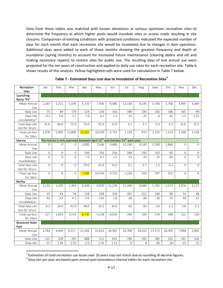Data from these tables was matched with known elevations at various upstream recreation sites to determine the frequency at which higher pools would inundate sites or access roads resulting in site closures. Comparison of existing conditions with projected conditions indicated the expected number of days for each month that each recreation site would be inundated due to changes in dam operation. Additional days were added to each of those months showing the greatest frequency and depth of inundation (spring months) to account for increased future maintenance (clearing debris and silt and making necessary repairs) to restore sites for public use. The resulting days of lost annual use were projected for the ten years of construction and applied to daily use rates for each recreation site. Table 6 shows results of this analysis. Yellow highlighted cells were used for calculations in Table 7 below.

| Recreation<br><b>Sites</b>             | Jan            | Feb                 | Mar            | Apr           | May    | Jun    | Jul                                                                                                | Aug            | Sept   | Oct    | Nov          | Dec                 |
|----------------------------------------|----------------|---------------------|----------------|---------------|--------|--------|----------------------------------------------------------------------------------------------------|----------------|--------|--------|--------------|---------------------|
| Launching<br>Ramp "Pit"                |                |                     |                |               |        |        |                                                                                                    |                |        |        |              |                     |
| Mean Annual<br>Use                     | 2,263          | 2,212               | 5,549          | 6,720         | 7,936  | 9,480  | 12,338                                                                                             | 9,145          | 5,760  | 5,766  | 4,495        | 3,069               |
| Daily Use                              | 73             | 89                  | 179            | 224           | 256    | 316    | 398                                                                                                | 295            | 192    | 186    | 145          | 99                  |
| Days site<br>inundated/yr <sup>6</sup> | 4.1            | 6.6                 | 7.2            | 7.0           | 4.1    | 1.5    | .31                                                                                                | .31            | .6     | .62    | 1.5          | 1.55                |
| Total days site<br>lost for 10 yrs.    | 41.0           | 66.0                | 72.0           | 70.0          | 41.0   | 15.0   | 3.1                                                                                                | 3.1            | 6.0    | 6.2    | 15.0         | 15.5                |
| Total use loss<br>for 10yrs            | 2,976          | 5,903               | 12,894         | <b>15,695</b> | 10,476 | 4,733  | 1,234                                                                                              | 915            | 1,155  | 1,153  | 2,168        | 1,528               |
| Marina                                 |                |                     |                |               |        |        | The marina is only operated between April 15 <sup>th</sup> and October 15 <sup>th</sup> each year. |                |        |        |              |                     |
| Mean Annual<br>Use                     | $\mathbf{O}$   | $\mathbf 0$         | $\Omega$       | 3,000         | 7,936  | 9,480  | 12,338                                                                                             | 9,145          | 5,760  | 1,860  | $\mathbf{0}$ | $\mathbf 0$         |
| Daily Use                              | 0              | $\mathsf{O}\xspace$ | 0              | 100           | 256    | 316    | 398                                                                                                | 295            | 192    | 60     | 0            | $\mathsf{O}\xspace$ |
| Days site<br>inundated/yr.             | 0              | $\Omega$            | $\overline{0}$ | 7.0           | 4.1    | 1.5    | .31                                                                                                | .31            | .31    | .62    | 0            | $\overline{0}$      |
| Total days site<br>lost for 10 yrs.    | $\overline{0}$ | $\mathbf{O}$        | $\overline{0}$ | 70.0          | 41.0   | 15.0   | 3.1                                                                                                | 3.1            | 3.1    | 6.2    | $\mathbf{O}$ | $\mathsf{O}\xspace$ |
| Total use loss<br>for 10yrs            | $\overline{0}$ | $\overline{0}$      | $\overline{0}$ | 7,000         | 10,476 | 4,733  | 1,234                                                                                              | 915            | 597    | 372    | $\mathbf{O}$ | $\overline{0}$      |
| Bertha                                 |                |                     |                |               |        |        |                                                                                                    |                |        |        |              |                     |
| Mean Annual<br>Use                     | 1,133          | 1,205               | 2,354          | 6,548         | 9,870  | 11,276 | 12,309                                                                                             | 9,680          | 5,702  | 5,573  | 3,076        | 2,227               |
| Daily Use                              | 37             | 43                  | 76             | 218           | 318    | 376    | 397                                                                                                | 312            | 190    | 99     | 74           | 48                  |
| Days site<br>inundated/yr.             | .62            | 2.4                 | 4.1            | 4.0           | 1.62   | 1.6    | .06                                                                                                | .06            | .30    | .31    | .30          | .31                 |
| Total days site<br>lost for 10 yrs.    | 6.2            | 24.0                | 41.0           | 40.0          | 16.2   | 16.0   | .62                                                                                                | .62            | 3.0    | 3.1    | 3.0          | 3.1                 |
| Total use loss<br>for 10yrs            | 227            | 1,033               | 3,114          | 8,730         | 5,158  | 6,014  | 246                                                                                                | 193            | 570    | 308    | 222          | 150                 |
| <b>Bluestone State</b>                 |                |                     |                |               |        |        |                                                                                                    |                |        |        |              |                     |
| Park                                   |                |                     |                |               |        |        |                                                                                                    |                |        |        |              |                     |
| Mean Annual<br>Use                     | 3,763          | 4,445               | 9,217          | 12,266        | 15,813 | 18,902 | 24,700                                                                                             | 18,322         | 11,575 | 10,305 | 7,096        | 5,065               |
| Daily Use                              | 122            | 149                 | 297            | 408           | 511    | 631    | 796                                                                                                | 591            | 385    | 332    | 241          | 164                 |
| Days site                              | .31            | 1.56                | 2.55           | 2.5           | 1.31   | 1.15   | $\mathbf{0}$                                                                                       | $\overline{0}$ | .06    | .16    | .15          | .15                 |

 **Table 7 ‐ Estimated Days Lost due to Inundation of Recreation Sites<sup>5</sup>**

Estimation of total recreation use losses over 10 years may not match due to rounding of decimal figures. <sup>5</sup> Estimation of total recreation use losses over 10 years may not match due to rounding of decimal figures.<br><sup>6</sup> Days lost per year are based upon annual pool exceedance interval tables for each recreation site.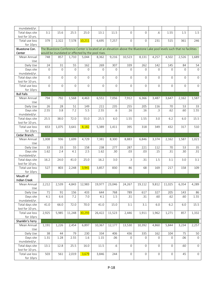| inundated/yr.               |             |                     |                |                |                                                                                                                         |              |                     |                |                |                |              |                     |
|-----------------------------|-------------|---------------------|----------------|----------------|-------------------------------------------------------------------------------------------------------------------------|--------------|---------------------|----------------|----------------|----------------|--------------|---------------------|
|                             |             |                     |                |                |                                                                                                                         |              |                     |                |                |                |              |                     |
| Total days site             | 3.1         | 15.6                | 25.5           | 25.0           | 13.1                                                                                                                    | 11.5         | $\mathbf 0$         | $\mathbf{0}$   | .6             | 1.55           | 1.5          | 1.5                 |
| lost for 10 yrs.            |             |                     |                |                |                                                                                                                         |              |                     |                |                |                |              |                     |
| Total use loss              | 379         | 2,322               | 7,578          | 10,211         | 6,695                                                                                                                   | 7,257        | $\mathbf 0$         | $\overline{0}$ | 231            | 515            | 361          | 246                 |
| for 10yrs                   |             |                     |                |                |                                                                                                                         |              |                     |                |                |                |              |                     |
| Bluestone Con.              |             |                     |                |                | The Bluestone Conference Center is located at an elevation above the Bluestone Lake pool levels such that no facilities |              |                     |                |                |                |              |                     |
| Center                      |             |                     |                |                | would be inundated or effected by the pool rises.                                                                       |              |                     |                |                |                |              |                     |
| Mean Annual                 | 748         | 857                 | 1,710          | 5,044          | 8,362                                                                                                                   | 9,216        | 10,523              | 8,131          | 4,257          | 4,502          | 2,526        | 1,689               |
| Use                         |             |                     |                |                |                                                                                                                         |              |                     |                |                |                |              |                     |
| Daily Use                   | 24          | 31                  | 55             | 162            | 269                                                                                                                     | 307          | 339                 | 262            | 142            | 145            | 84           | 54                  |
| Days site                   | $\Omega$    | $\overline{O}$      | $\mathbf 0$    | $\overline{0}$ | $\mathbf{O}$                                                                                                            | $\mathbf{0}$ | $\overline{0}$      | $\mathbf{0}$   | $\mathbf 0$    | $\mathbf 0$    | $\Omega$     | $\mathbf{O}$        |
| inundated/yr.               |             |                     |                |                |                                                                                                                         |              |                     |                |                |                |              |                     |
| Total days site             | $\mathbf 0$ | $\mathbf 0$         | $\mathbf{0}$   | $\overline{0}$ | $\mathbf{0}$                                                                                                            | $\mathbf{0}$ | $\mathbf{0}$        | $\mathbf{0}$   | $\mathbf{O}$   | $\mathbf{O}$   | $\mathbf{0}$ | $\mathbf{O}$        |
| lost for 10 yrs.            |             |                     |                |                |                                                                                                                         |              |                     |                |                |                |              |                     |
| Total use loss              | $\mathbf 0$ | $\overline{0}$      | $\overline{0}$ | $\overline{0}$ | $\mathbf 0$                                                                                                             | $\mathbf{0}$ | $\mathbf{0}$        | $\mathbf 0$    | $\overline{0}$ | $\overline{0}$ | $\mathbf{0}$ | $\mathbf 0$         |
| for 10yrs                   |             |                     |                |                |                                                                                                                         |              |                     |                |                |                |              |                     |
| <b>Bull Falls</b>           |             |                     |                |                |                                                                                                                         |              |                     |                |                |                |              |                     |
| Mean Annual                 | 794         | 792                 | 1,568          | 4,463          | 6,551                                                                                                                   | 7,056        | 7,912               | 6,366          | 3,487          | 3,647          | 2,162        | 1,587               |
| Use                         |             |                     |                |                |                                                                                                                         |              |                     |                |                |                |              |                     |
| Daily Use                   | 26          | 28                  | 51             | 149            | 211                                                                                                                     | 235          | 255                 | 205            | 116            | 70             | 53           | 33                  |
| Days site                   | 2.55        | 3.8                 | 7.2            | 5.5            | 2.55                                                                                                                    | .6           | .16                 | .16            | .3             | .62            | .60          | 1.55                |
| inundated/yr.               |             |                     |                |                |                                                                                                                         |              |                     |                |                |                |              |                     |
| Total days site             | 25.5        | 38.0                | 72.0           | 55.0           | 25.5                                                                                                                    | 6.0          | 1.55                | 1.55           | 3.0            | 6.2            | 6.0          | 15.5                |
| lost for 10 yrs.            |             |                     |                |                |                                                                                                                         |              |                     |                |                |                |              |                     |
| Total use loss              | 653         | 1,075               | 3,641          | 8,182          | 5,389                                                                                                                   | 1,411        | 395                 | 318            | 349            | 432            | 317          | 510                 |
| for 10yrs                   |             |                     |                |                |                                                                                                                         |              |                     |                |                |                |              |                     |
| Cedar Branch                |             |                     |                |                |                                                                                                                         |              |                     |                |                |                |              |                     |
| Mean Annual                 | 1,008       | 936                 | 1,699          | 4,729          | 7,381                                                                                                                   | 8,300        | 8,883               | 6,846          | 3,374          | 2,162          | 1,587        | 1,021               |
| Use                         |             |                     |                |                |                                                                                                                         |              |                     |                |                |                |              |                     |
| Daily Use                   | 33          | 33                  | 55             | 158            | 238                                                                                                                     | 277          | 287                 | 221            | 112            | 70             | 53           | 35                  |
| Days site                   | 1.62        | 2.4                 | 4.1            | 2.5            | 1.62                                                                                                                    | .30          | .03                 | .03            | .15            | .31            | .30          | .31                 |
| inundated/yr.               |             |                     |                |                |                                                                                                                         |              |                     |                |                |                |              |                     |
| Total days site             | 16.2        | 24.0                | 41.0           | 25.0           | 16.2                                                                                                                    | 3.0          | .3                  | .31            | 1.5            | 3.1            | 3.0          | 3.1                 |
| lost for 10 yrs.            |             |                     |                |                |                                                                                                                         |              |                     |                |                |                |              |                     |
| Total use loss              | 527         | 803                 | 2,248          | 3,941          | 3,857                                                                                                                   | 830          | 86                  | 68             | 169            | 217            | 158          | 109                 |
| for 10yrs                   |             |                     |                |                |                                                                                                                         |              |                     |                |                |                |              |                     |
| Mouth of                    |             |                     |                |                |                                                                                                                         |              |                     |                |                |                |              |                     |
| <b>Indian Creek</b>         |             |                     |                |                |                                                                                                                         |              |                     |                |                |                |              |                     |
| Mean Annual                 | 2,212       | 2,539               | 4,843          | 12,983         | 19,977                                                                                                                  | 23,046       | 24,267              | 19,112         | 9,812          | 11,025         | 6,354        | 4,289               |
| Use                         |             |                     |                |                |                                                                                                                         |              |                     |                |                |                |              |                     |
| Daily Use                   | 71          | 91                  | 156            | 433            | 644                                                                                                                     | 768          | 789                 | 617            | 327            | 205            | 143          | 86                  |
| Days site                   | 4.1         | 6.6                 | 7.2            | 7.0            | 4.1                                                                                                                     | 1.5          | .31                 | .31            | .60            | .62            | .60          | 1.55                |
| inundated/yr.               |             |                     |                |                |                                                                                                                         |              |                     |                |                |                |              |                     |
| Total days site             | 41.0        | 66.0                | 72.0           | 70.0           | 41.0                                                                                                                    | 15.0         | 3.1                 | 3.1            | 6.0            | $6.2\,$        | 6.0          | 15.5                |
| lost for 10 yrs.            |             |                     |                |                |                                                                                                                         |              |                     |                |                |                |              |                     |
| Total use loss              | 2,925       | $\overline{5}$ ,985 | 11,248         | 30,293         | 26,422                                                                                                                  | 11,523       | 2,446               | 1,911          | 1,962          | 1,271          | 857          | 1,332               |
| for 10yrs                   |             |                     |                |                |                                                                                                                         |              |                     |                |                |                |              |                     |
| Shanklin's Ferry            |             |                     |                |                |                                                                                                                         |              |                     |                |                |                |              |                     |
| Mean Annual                 | 1,191       | 1,226               | 2,454          | 6,897          | 10,367                                                                                                                  | 12,177       | 13,530              | 10,392         | 4,860          | 5,844          | 3,234        | 2,257               |
| Use                         |             |                     |                |                |                                                                                                                         |              |                     |                |                |                |              |                     |
| Daily Use                   | 38          | 44                  | 79             | 230            | 334                                                                                                                     | 406          | 436                 | 335            | 162            | 104            | 75           | 50                  |
| Days site                   | 1.31        | 1.28                | 2.55           | 1.6            | 1.15                                                                                                                    | .06          | $\mathsf{O}\xspace$ | $\mathbf{0}$   | $\mathbf{O}$   | 0              | .06          | $\mathbf 0$         |
| inundated/yr.               |             |                     |                |                |                                                                                                                         |              |                     |                |                |                |              |                     |
| Total days site             | 13.1        | 12.8                | 25.5           | 16.0           | $11.5\,$                                                                                                                | .6           | 0                   | 0              | 0              | 0              | .60          | $\mathsf{O}\xspace$ |
| lost for 10 yrs.            |             |                     |                |                |                                                                                                                         |              |                     |                |                |                |              |                     |
| Total use loss<br>for 10yrs | 503         | 561                 | 2,019          | 3,679          | 3,846                                                                                                                   | 244          | 0                   | 0              | 0              | 0              | 45           | $\mathsf{O}\xspace$ |
|                             |             |                     |                |                |                                                                                                                         |              |                     |                |                |                |              |                     |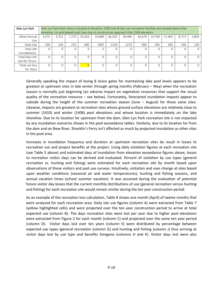| Glen Lyn Park                       |       | Glen Lyn Park boat ramp is located at elevation 1506 and all day use recreation facilities are located above that<br>elevation; no anticipated pool rises due to construction approach that 1506 elevation. |       |          |        |        |        |        |        |        |       |          |
|-------------------------------------|-------|-------------------------------------------------------------------------------------------------------------------------------------------------------------------------------------------------------------|-------|----------|--------|--------|--------|--------|--------|--------|-------|----------|
| Mean Annual<br>Use                  | 3.375 | 3.751                                                                                                                                                                                                       | 7,270 | 20,563   | 33.686 | 36.533 | 39.485 | 30.679 | 14,769 | 17,402 | 8,773 | 5,893    |
| Daily Use                           | 109   | 134                                                                                                                                                                                                         | 235   | 685      | 1087   | 1218   | 1274   | 990    | 492    | 283    | 196   | 130      |
| Days site<br>inundated/yr.          | 0     |                                                                                                                                                                                                             |       |          |        |        |        |        |        |        |       | $\Omega$ |
| Total days site<br>lost for 10 yrs. | O     |                                                                                                                                                                                                             | 0     | $\Omega$ |        |        |        |        | 0      |        |       | $\Omega$ |
| Total use loss<br>for 10yrs         | 0     |                                                                                                                                                                                                             | 0     |          |        |        |        |        | 0      |        |       | $\Omega$ |

 Generally speaking the impact of losing 8 sluice gates for maintaining lake pool levels appears to be greatest at upstream sites in late winter through spring months (February – May) when the recreation season is normally just beginning (an adverse impact on vegetation resources that support the visual quality of the recreation resource – see below). Fortunately, forecasted inundation impacts appear to subside during the height of the summer recreation season (June – August) for those same sites. Likewise, impacts are greatest at recreation sites whose ground surface elevations are relatively close to summer (1410) and winter (1406) pool elevations and whose location is immediately on the lake shoreline. Due to its location far upstream from the dam, Glen Lyn Park recreation site is not impacted by any inundation scenarios shown in the pool exceedance tables. Similarly, due to its location far from the dam and on New River, Shanklin's Ferry isn't affected as much by projected inundation as other sites in the pool area.

 Increases in inundation frequency and duration at upstream recreation sites do result in losses to recreation use and project benefits at the project. Using daily visitation figures at each recreation site (see Table 5 above) and estimated days of inundation from elevation exceedance figures above, losses to recreation visitor days can be derived and evaluated. Percent of visitation by use types (general recreation vs. hunting and fishing) were estimated for each recreation site by month based upon observations of those visitors and past use surveys. Intuitively, visitation and uses change at sites based upon weather conditions (seasonal air and water temperatures), hunting and fishing seasons, and annual vacation times (school summer vacation). It was assumed during the evaluation of potential future visitor day losses that the current monthly distributions of use (general recreation versus hunting and fishing) for each recreation site would remain similar during the ten year construction period.

 As an example of the recreation loss calculation, Table 8 shows one month (April) of twelve months that were analyzed for each recreation area. Daily site use figures (column A) were extracted from Table 7 (yellow highlighted cells) and were projected over the ten year construction period to arrive at total expected use (column B). The days recreation sites were lost per year due to higher pool elevations were extracted from Figure 2 for each month (column C) and projected over the same ten year period (column D). Visitor days lost over ten years (column E) were distributed by percentage between expected use types (general recreation (column G) and hunting and fishing (column J) thus arriving at visitor days lost by use type and benefits foregone (columns H and K). Visitor days lost were also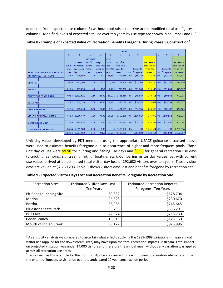deducted from expected use (column B) without pool raises to arrive at the modified total use figures in column F. Modified levels of expected site use over ten years by use type are shown in columns I and L.<sup>7</sup>

|                                        |         | April             |           |                 |          |           |           |                 |                 |    |                 |                   |
|----------------------------------------|---------|-------------------|-----------|-----------------|----------|-----------|-----------|-----------------|-----------------|----|-----------------|-------------------|
|                                        | A       | B.                | c         | D               | E        | F         | G         | н               |                 | J  | K.              | L                 |
|                                        |         |                   | Days site |                 | User     |           |           |                 |                 |    |                 |                   |
|                                        |         | 10 years          | lost/vr   | Days            | days     | Modified  |           |                 | Recreation      |    |                 | <b>Recreation</b> |
|                                        | Daily   | visitation        | due to    | site lost llost |          | total use |           |                 | site use by     |    |                 | site use by       |
|                                        | site    | over 3,652 higher |           | over 10         | over 10  | over 10   |           | <b>Benefits</b> | type for        |    | <b>Benefits</b> | type for          |
| <b>Bluestone Lake Recreation Sites</b> | use     | days              | pools     | years           | vears    | vears     | <b>GR</b> | foregone        | 10-years        | HF | foregone        | 10-years          |
| PIT BOAT LAUNCH RAMP                   | 224.2   | 818,850           | 7.0       | 70.0            | 15,695   | 803,155   | 0.4       | \$56,378        | $321,262$ 0.6   |    | \$93,231        | 481,893           |
|                                        |         |                   |           |                 |          |           |           |                 |                 |    |                 |                   |
| <b>MARINA</b>                          | 100.0   | 365,200           | 7.0       | 70.0            | 7,000    | 358,200   | 0.4       | \$25,144        | 143,280 0.6     |    | \$41,580        | 214,920           |
|                                        |         |                   |           |                 |          |           |           |                 |                 |    |                 |                   |
| <b>BERTHA</b>                          | 218.3   | 797,093           | 4.0       | 40.0            | 8,730    | 788,362   | 0.4       | \$31,360        | $315,345$ 0.6   |    | \$51,859        | 473,017           |
|                                        |         |                   |           |                 |          |           |           |                 |                 |    |                 |                   |
| <b>BLUESTONE STATE PARK</b>            | 408.4   | 1,491,621         | 2.50      | 25.00           | 10,211   | 1,481,410 | 0.5       | \$45,847        | 740,705 0.5     |    | \$50,544        | 740,705           |
|                                        |         |                   |           |                 |          |           |           |                 |                 |    |                 |                   |
| <b>BULL FALLS</b>                      | 148.8   | 543,259           | 5.50      | 55.00           | 8,182    | 535,078   | 0.4       | \$29,388        | 214,031 0.6     |    | \$48,599        | 321,047           |
|                                        |         |                   |           |                 |          |           |           |                 |                 |    |                 |                   |
| <b>CEDAR BRANCH</b>                    | 157.6   | 575,640           | 2.50      | 25.00           | 3,941    | 571,699   | 0.4       | \$14,155        | $228,680$ 0.6   |    | \$23,407        | 343,020           |
|                                        |         |                   |           |                 |          |           |           |                 |                 |    |                 |                   |
| <b>MOUTH OF INDIAN CREEK</b>           | 432.8   | 1,580,449         | 7.00      | 70.00           | 30,293   | 1,550,156 | 0.5       | \$136,017       | 775,078 0.5     |    | \$149,952       | 775,078           |
|                                        |         |                   |           |                 |          |           |           |                 |                 |    |                 |                   |
| <b>SHANKLIN'S FERRY</b>                | 229.9   | 839,652           | 1.60      | 16.00           | 3,679    | 835,973   | 0.4       | \$13,214        | 334,389 0.6     |    | \$21,851        | 501,584           |
|                                        |         |                   |           |                 |          |           |           |                 |                 |    |                 |                   |
| <b>TOWN PARK - GLEN LYN</b>            | 685.4   | 2,503,188         | 0.00      | 0.00            | $\Omega$ | 2,503,188 | 0.5       | $ $ SO          | $1,251,594$ 0.5 |    | \$0             | 1,251,594         |
|                                        | 2,605.4 | 9,514,952         | 37.1      | 371.0           | 87,731   | 9,427,221 |           | \$351,503       | 4,324,364       |    | \$481,023       | 5,102,857         |

Table 8 - Example of Expected Value of Recreation Benefits Foregone During Phase 5 Construction<sup>8</sup>

 Unit day values developed by PDT members using the appropriate USACE guidance discussed above were used to estimate benefits foregone due to occurrence of higher and more frequent pools. Those unit day values were <mark>\$9.90</mark> for hunting and fishing use days and <mark>\$8.98</mark> for general recreation use days (picnicking, camping, sightseeing, hiking, boating, etc.). Comparing visitor day values lost with current use values arrived at an estimated total visitor day loss of 292,682 visitors over ten years. Those visitor days are valued at \$2,759,293. Table 9 shows visitors days lost and benefits foregone by recreation site.

| <b>Recreation Sites</b>     | <b>Estimated Visitor Days Lost -</b> | <b>Estimated Recreation Benefits</b> |  |  |
|-----------------------------|--------------------------------------|--------------------------------------|--|--|
|                             | <b>Ten Years</b>                     | Foregone - Ten Years                 |  |  |
| Pit Boat Launching Site     | 60,832                               | \$578,704                            |  |  |
| Marina                      | 25,328                               | \$230,670                            |  |  |
| Bertha                      | 25,966                               | \$245,645                            |  |  |
| <b>Bluestone State Park</b> | 35,796                               | \$336,291                            |  |  |
| <b>Bull Falls</b>           | 22,674                               | \$215,730                            |  |  |
| Cedar Branch                | 13,013                               | \$123,150                            |  |  |
| Mouth of Indian Creek       | 98,177                               | \$925,996                            |  |  |

|  |  |  |  | Table 9 - Expected Visitor Days Lost and Recreation Benefits Foregone by Recreation Site |
|--|--|--|--|------------------------------------------------------------------------------------------|
|--|--|--|--|------------------------------------------------------------------------------------------|

<sup>&</sup>lt;sup>7</sup> A sensitivity analysis was prepared to ascertain what effects applying the 1989-1998 variations in mean annual visitor use (applied for the downstream sites) may have upon the total recreation impacts upstream. Total impact on projected visitation was under 14,000 visitors and therefore the annual mean without any variation was applied across all recreation use areas.

across all recreation use areas.<br><sup>8</sup> Tables such as this example for the month of April were created for each upstream recreation site to determine the extent of impacts to visitation over the anticipated 10 year construction period.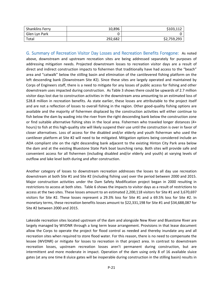| <b>Shanklins Ferry</b> | 10,896  | \$103,112   |
|------------------------|---------|-------------|
| Glen Lyn Park          |         |             |
| Total                  | 292,682 | \$2,759,293 |

 G. Summary of Recreation Visitor Day Losses and Recreation Benefits Foregone: As noted above, downstream and upstream recreation sites are being addressed separately for purposes of addressing mitigation needs. Projected downstream losses to recreation visitor days are a result of direct and indirect construction impacts to fishermen that traditionally have had access to the "beach" area and "catwalk" below the stilling basin and elimination of the cantilevered fishing platform on the left descending bank (Downstream Site #2). Since these sites are largely operated and maintained by Corps of Engineers staff, there is a need to mitigate for any losses of public access for fishing and other downstream uses impacted during construction. As Table 3 shows there could be upwards of 2.7 million visitor days lost due to construction activities in the downstream area amounting to an estimated loss of \$28.8 million in recreation benefits. As state earlier, these losses are attributable to the project itself and are not a reflection of losses to overall fishing in the region. Other good‐quality fishing options are available and the majority of fishermen displaced by the construction activities will either continue to fish below the dam by wading into the river from the right descending bank below the construction zone or find suitable alternative fishing sites in the local area. Fishermen who traveled longer distances (4+ hours) to fish at this high‐quality site will likely suspend their use until the construction is over in favor of closer alternatives. Loss of access for the disabled and/or elderly and youth fisherman who used the cantilever platform at Site #2 will need to be mitigated. Mitigation options being considered include an ADA compliant site on the right descending bank adjacent to the existing Hinton City Park area below the dam and at the existing Bluestone State Park boat launching ramp. Both sites will provide safe and convenient access for all fishermen (including disabled and/or elderly and youth) at varying levels of outflow and lake level both during and after construction.

 Another category of losses to downstream recreation addresses the losses to all day use recreation downstream at both Site #1 and Site #2 (including fishing use) over the period between 2000 and 2015. Major construction activities under the Dam Safety Modification project began in 2000 resulting in restrictions to access at both sites. Table 6 shows the impacts to visitor days as a result of restrictions to access at the two sites. These losses amount to an estimated 2,200,118 visitors for Site #1 and 3,670,697 visitors for Site #2. These losses represent a 29.3% loss for Site #1 and a 69.5% loss for Site #2. In monetary terms, these recreation benefits losses amount to \$22,331,198 for Site #1 and \$34,688,087 for Site #2 between 2000 and 2015.

 Lakeside recreation sites located upstream of the dam and alongside New River and Bluestone River are largely managed by WVDNR through a long term lease arrangement. Provisions in that lease document allow the Corps to operate the project for flood control as needed and thereby inundate any and all recreation sites when required to store flood water. For this reason, there is no need to compensate the lessee (WVDNR) or mitigate for losses to recreation in that project area. In contrast to downstream recreation losses, upstream recreation losses aren't permanent during construction, but are intermittent and more moderate in impact. Operation of the dam using only 8 of 16 available sluice gates (at any one time 8 sluice gates will be inoperable during construction in the stilling basin) results in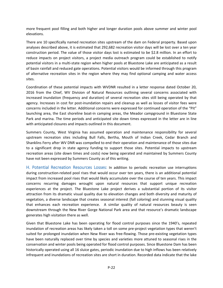more frequent pool filling and both higher and longer duration pools above summer and winter pool elevations.

 There are 10 specifically named recreation sites upstream of the dam on Federal property. Based upon analyses described above, it is estimated that 292,682 recreation visitor days will be lost over a ten year construction period. The value of those visitor days lost is estimated to be \$2.8 million. In an effort to reduce impacts on project visitors, a project media outreach program could be established to notify potential visitors in a multi‐state region when higher pools at Bluestone Lake are anticipated as a result of basin rainfall and reduced gate operations. Potential visitors would be informed through this program of alternative recreation sites in the region where they may find optional camping and water access sites.

 Coordination of these potential impacts with WVDNR resulted in a letter response dated October 20, 2016 from the Chief, WV Division of Natural Resources outlining several concerns associated with increased inundation (frequency and duration) of several recreation sites still being operated by that agency. Increases in cost for post‐inundation repairs and cleanup as well as losses of visitor fees were concerns included in the letter. Additional concerns were expressed for continued operation of the "Pit" launching area, the East shoreline boat‐in camping areas, the Meador campground in Bluestone State Park and marina. The time periods and anticipated site down times expressed in the letter are in line with anticipated closures and impacts outlined in this document.

 Summers County, West Virginia has assumed operation and maintenance responsibility for several upstream recreation sites including Bull Falls, Bertha, Mouth of Indian Creek, Cedar Branch and Shanklins Ferry after WV DNR was compelled to end their operation and maintenance of those sites due to a significant drop in state agency funding to support those sites. Potential impacts to upstream recreation areas (site down times and costs) now being operated and maintained by Summers County have not been expressed by Summers County as of this writing.

H. Potential Recreation Resources Losses: In addition to periodic recreation use interruptions during construction‐related pool rises that would occur over ten years, there is an additional potential impact from increased pool rises that would likely accumulate over the course of ten years. This impact concerns recurring damages wrought upon natural resources that support unique recreation experiences at the project. The Bluestone Lake project derives a substantial portion of its visitor attraction from its dramatic visual quality due to elevation changes and both diversity and maturity of vegetation, a diverse landscape that creates seasonal interest (fall coloring) and stunning visual quality that enhances each recreation experience. A similar quality of natural resources beauty is seen downstream through the New River Gorge National Park area and that resource's dramatic landscape generates high visitation there as well.

 Given that Bluestone Lake has been operating for flood control purposes since the 1940's, repeated inundation of recreation areas has likely taken a toll on some pre‐project vegetation types that weren't suited for prolonged inundation when New River was free‐flowing. Those pre‐existing vegetation types have been naturally replaced over time by species and varieties more attuned to seasonal rises in the conservation and winter pools being operated for flood control purposes. Since Bluestone Dam has been historically operated using all 16 sluice gates, periodic inundation due to high inflows has been relatively infrequent and inundations of recreation sites are short in duration. Recorded data indicate that the lake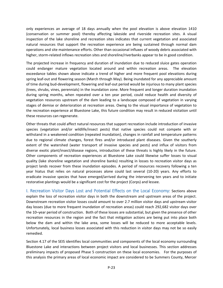only experiences an average of 18 days annually when the pool elevation is above elevation 1410 (conservation or summer pool) thereby affecting lakeside and riverside recreation sites. A visual inspection of the lake shoreline and recreation sites indicates that current vegetation and associated natural resources that support the recreation experience are being sustained through normal dam operations and site maintenance efforts. Other than occasional influxes of woody debris associated with higher, storm‐related inflows recreation sites and shoreline/riverbanks appear to be in good condition.

 The projected increase in frequency and duration of inundation due to reduced sluice gates operation could endanger mature vegetation located around and within recreation areas. The elevation exceedance tables shown above indicate a trend of higher and more frequent pool elevations during spring leaf‐out and flowering season (March through May). Being inundated for any appreciable amount of time during bud‐development, flowering and leaf‐out period would be injurious to many plant species (trees, shrubs, vines, perennials) in the inundation zone. More frequent and longer duration inundation during spring months, when repeated over a ten year period, could reduce health and diversity of vegetation resources upstream of the dam leading to a landscape composed of vegetation in varying stages of demise or deterioration at recreation areas. Owing to the visual importance of vegetation to the recreation experience at Bluestone Lake, this future condition may result in reduced visitation until these resources can regenerate.

 Other threats that could affect natural resources that support recreation include introduction of invasive species (vegetation and/or wildlife/insect pests) that native species could not compete with or withstand in a weakened condition (repeated inundation), changes in rainfall and temperature patterns due to regional climate changes, forest fires and/or introduced plant diseases. Given the southerly extent of the watershed (water transport of invasive species and pests) and influx of visitors from diverse exotic plant/insect/disease regions, introduction of these threats is highly likely in the future. Other components of recreation experiences at Bluestone Lake could likewise suffer losses to visual quality (lake shoreline vegetation and shoreline banks) resulting in losses to recreation visitor days as project lands recover from these inundation episodes. A period of resources recovery following a ten year hiatus that relies on natural processes alone could last several (10‐20) years. Any efforts to eradicate invasive species that have emerged/arrived during the intervening ten years and to initiate restorative plantings would be a significant cost for the project (Corps) and lessee.

 I. Recreation Visitor Days Lost and Potential Effects on the Local Economy: Sections above explain the loss of recreation visitor days in both the downstream and upstream areas of the project. Downstream recreation visitor losses could amount to over 2.7 million visitor days and upstream visitor day losses (due to more frequent inundation of recreation areas) could reach 292,682 visitor days over the 10–year period of construction. Both of these losses are substantial, but given the presence of other recreation resources in the region and the fact that mitigation actions are being put into place both below the dam and within the lake area, some losses will be reduced to more acceptable levels. Unfortunately, local business losses associated with this reduction in visitor days may not be so easily remedied.

 Section 4.17 of the SEIS identifies local communities and components of the local economy surrounding Bluestone Lake and interactions between project visitors and local businesses. This section addresses preliminary impacts of proposed Phase 5 construction on these local economies. For the purposes of this analysis the primary areas of local economic impact are considered to be Summers County, Mercer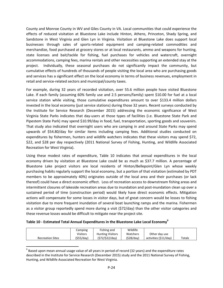County and Monroe County in WV and Giles County in VA. Local communities that could experience the effects of reduced visitation at Bluestone Lake include Hinton, Athens, Princeton, Shady Spring, and Sandstone in West Virginia and Glen Lyn in Virginia. Visitation at Bluestone Lake does support local businesses through sales of sports‐related equipment and camping‐related commodities and merchandize, food purchased at grocery stores or at local restaurants, ammo and weapons for hunting, state licenses and bait/tackle for fishing, fuel purchases for vehicles and watercraft, overnight accommodations, camping fees, marina rentals and other necessities supporting an extended stay at the project. Individually, these seasonal purchases do not significantly impact the community, but cumulative effects of hundreds of thousands of people visiting the local area who are purchasing goods and services has a significant effect on the local economy in terms of business revenues, employment in retail and service‐related sectors and municipal/county taxes.

 For example, during 32 years of recorded visitation, over 55.6 million people have visited Bluestone Lake. If each family (assuming 60% family use and 2.5 persons/family) spent \$10.00 for fuel at a local service station while visiting, those cumulative expenditures amount to over \$133.4 million dollars invested in the local economy (just service stations) during those 32 years. Recent surveys conducted by the Institute for Service Research (December 2015) addressing the economic significance of West Virginia State Parks indicates that day‐users at those types of facilities (i.e. Bluestone State Park and Pipestem State Park) may spend \$10.99/day in food, fuel, transportation, sporting goods and souvenirs. That study also indicated that overnight users who are camping in and around State Parks may spend upwards of \$54.80/day for similar items including camping fees. Additional studies conducted on expenditures by fishermen, hunters and wildlife watchers indicates that these visitors may spend \$72, \$22, and \$28 per day respectively (2011 National Survey of Fishing, Hunting, and Wildlife Associated Recreation for West Virginia).

 Using these modest rates of expenditure, Table 10 indicates that annual expenditures in the local economy driven by visitation at Bluestone Lake could be as much as \$37.7 million. A percentage of Bluestone Lake project visitors are local residents of Hinton/Bellepoint/Glen Lyn whose weekly purchasing habits regularly support the local economy, but a portion of that visitation (estimated by PDT members to be approximately 40%) originates outside of the local area and their purchases (or lack thereof) could have a direct economic effect. Loss of recreation access to downstream fishing areas and intermittent closures of lakeside recreation areas due to inundation and post‐inundation clean up over a sustained period of time (construction period) would likely have direct economic effects. Mitigation actions will compensate for some losses in visitor days, but of great concern would be losses to fishing visitation due to more frequent inundation of several boat launching ramps and the marina. Fishermen as a visitor group reportedly spend more during a visit (\$72/day) than the other visitor categories and these revenue losses would be difficult to mitigate near the project site.

| Table 10 - Estimated Total Annual Expenditures in the Bluestone Lake Local Economy <sup>9</sup> |  |  |
|-------------------------------------------------------------------------------------------------|--|--|
|-------------------------------------------------------------------------------------------------|--|--|

|                         | Camping         | Fishing and             | Wildlife   |                       |        |
|-------------------------|-----------------|-------------------------|------------|-----------------------|--------|
|                         | <b>Visitors</b> | <b>Hunting Visitors</b> | Watchers   | Other day use         |        |
| <b>Recreation Sites</b> | (\$55/dav)      | (572/522/day)           | (\$28/day) | activities (\$11/day) | Totals |

 $^9$  Based upon mean annual usage value of all years in period of record (32 years) and the expenditure rates described in the Institute for Service Research (December 2015) study and the 2011 National Survey of Fishing, Hunting, and Wildlife Associated Recreation for West Virginia.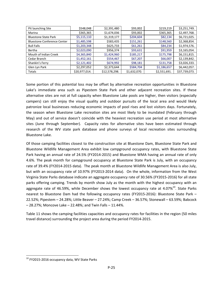| Pit launching Site                 | \$548,048     | \$2,391,480   | \$93,002     | \$219,219    | \$3,251,749.  |
|------------------------------------|---------------|---------------|--------------|--------------|---------------|
| Marina                             | \$365,365     | \$1,674,036   | \$93,002     | \$365,365    | \$2,497,768.  |
| <b>Bluestone State Park</b>        | \$5,115,110   | \$1,319,177   | \$204,604    | \$82,134     | \$6,721,025.  |
| <b>Bluestone Conference Center</b> | \$1,485,598   | \$583,435     | \$151,261    | \$148,560    | \$2,368,854.  |
| <b>Bull Falls</b>                  | \$1,203,348   | \$625,733     | \$61,261     | \$84,234     | \$1,974,576.  |
| Bertha                             | \$2,023,090   | \$956,374     | \$93,631     | \$91,959     | \$3,165,054.  |
| Mouth of Indian Creek              | \$4,365,840   | \$1,424,960   | \$185,217    | \$175,798    | \$6,151,815.  |
| Cedar Branch                       | \$1,452,161   | \$554,467     | \$67,207     | \$66,007     | \$2,139,842.  |
| Shankin's Ferry                    | \$2,121,402   | \$674,992     | \$98,181     | \$131,758    | \$3,026,333.  |
| Glen Lyn Park                      | \$2,297,052   | \$2,373,644   | \$584,704    | \$1,186,657  | \$6,442,057.  |
| Totals                             | \$20,977,014. | \$12,578,298. | \$1,632,070. | \$2,551,691. | \$37,739,073. |

 Some portion of this potential loss may be offset by alternative recreation opportunities in Bluestone Lake's immediate area such as Pipestem State Park and other adjacent recreation sites. If these alternative sites are not at full capacity when Bluestone Lake pools are higher, then visitors (especially campers) can still enjoy the visual quality and outdoor pursuits of the local area and would likely patronize local businesses reducing economic impacts of pool rises and lost visitors days. Fortunately, the season when Bluestone Lake recreation sites are most likely to be inundated (February through May) and out of service doesn't coincide with the heaviest recreation use period at most alternative sites (June through September). Capacity rates for alternative sites have been estimated through research of the WV state park database and phone surveys of local recreation sites surrounding Bluestone Lake.

 Of those camping facilities closest to the construction site at Bluestone Dam, Bluestone State Park and Bluestone Wildlife Management Area exhibit low campground occupancy rates, with Bluestone State Park having an annual rate of 24.5% (FY2014‐2015) and Bluestone WMA having an annual rate of only 4.6%. The peak month for campground occupancy at Bluestone State Park is July, with an occupancy rate of 39.4% (FY2014‐2015 data). The peak month at Bluestone Wildlife Management Area is also July, but with an occupancy rate of 10.97% (FY2013‐2014 data). On the whole, information from the West Virginia State Parks database indicate an aggregate occupancy rate of 30.56% (FY2015‐2016) for all state parks offering camping. Trends by month show July as the month with the highest occupancy with an aggregate rate of 46.59%, while December shows the lowest occupancy rate at 4.07% $^{10}$ . State Parks nearest to Bluestone Dam had the following occupancy rates (FY2015‐2016): Bluestone State Park – 22.52%; Pipestem – 24.28%; Little Beaver – 27.24%; Camp Creek – 36.57%; Stonewall – 63.59%; Babcock – 28.27%; Moncove Lake – 22.48%; and Twin Falls – 11.44%.

 Table 11 shows the camping facilities capacities and occupancy rates for facilities in the region (50 miles travel distance) surrounding the project area during the period FY2014‐2015.

 $^{10}$  FY2015-2016 occupancy data, WV State Parks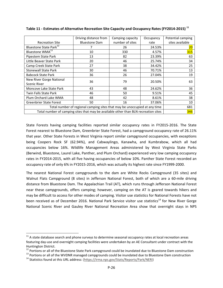|                                                                                     | Driving distance from | Camping capacity | Occupancy | Potential camping |
|-------------------------------------------------------------------------------------|-----------------------|------------------|-----------|-------------------|
| <b>Recreation Site</b>                                                              | <b>Bluestone Dam</b>  | number of sites  | rate      | sites available   |
| Bluestone State Park <sup>12</sup>                                                  |                       | 26               | 24.53%    | 20 <sub>o</sub>   |
| Bluestone WMA <sup>13</sup>                                                         | 10                    | 330              | 4.57%     | 315               |
| Pipestem State Park                                                                 | 13                    | 82               | 23.39%    | 63                |
| Little Beaver State Park                                                            | 20                    | 46               | 25.74%    | 34                |
| Camp Creek State Park                                                               | 27                    | 38               | 34.42%    | 25                |
| <b>Stonewall State Park</b>                                                         | 30                    | 46               | 70.71%    | 13                |
| <b>Babcock State Park</b>                                                           | 36                    | 26               | 27.04%    | 19                |
| New River Gorge National                                                            | 36                    | 79               | 20.50%    | 63                |
| Scenic River                                                                        |                       |                  |           |                   |
| Moncove Lake State Park                                                             | 43                    | 48               | 24.62%    | 36                |
| Twin Falls State Park                                                               | 46                    | 50               | 9.51%     | 45                |
| Plum Orchard Lake WMA                                                               | 48                    | 42               | 8.61%     | 38                |
| <b>Greenbrier State Forest</b>                                                      | 50                    | 16               | 37.06%    | 10                |
| Total number of regional camping sites that may be unoccupied at any time           | 681                   |                  |           |                   |
| Total number of camping sites that may be available other than BLN recreation sites | 346                   |                  |           |                   |

Table 11 - Estimates of Alternative Recreation Site Capacity and Occupancy Rates (FY2014-2015)  $^{11}$ 

State Forests having camping facilities reported similar occupancy rates in FY2015-2016. The State Forest nearest to Bluestone Dam, Greenbrier State Forest, had a campground occupancy rate of 26.11% that year. Other State Forests in West Virginia report similar campground occupancies, with exceptions being Coopers Rock SF (62.94%), and Cabwaylingo, Kanawha, and Kumbrabow, which all had occupancies below 16%. Wildlife Management Areas administered by West Virginia State Parks (Berwind, Bluestone, Laurel Lake, Panther, and Plum Orchard) experienced very low camping occupancy rates in FY2014‐2015, with all five having occupancies of below 10%. Panther State Forest recorded an occupancy rate of only 6% in FY2015‐2016, which was actually its highest rate since FY1999‐2000.

 The nearest National Forest campgrounds to the dam are White Rocks Campground (35 sites) and Walnut Flats Campground (8 sites) in Jefferson National Forest, both of which are a 60‐mile driving distance from Bluestone Dam. The Appalachian Trail (AT), which runs through Jefferson National Forest near these campgrounds, offers camping; however, camping on the AT is geared towards hikers and may be difficult to access for other modes of camping. Visitor use statistics for National Forests have not been received as of December 2016. National Park Service visitor use statistics<sup>14</sup> for New River Gorge National Scenic River and Gauley River National Recreation Area show that overnight stays in NPS

 $11$  A state database search and phone surveys to determine seasonal occupancy rates at local recreation areas featuring day‐use and overnight camping facilities were undertaken by an AE Consultant under contract with the Huntington District.

Portions or all of the Bluestone State Park campground could be inundated due to Bluestone Dam construction Huntington District.<br><sup>12</sup> Portions or all of the Bluestone State Park campground could be inundated due to Bluestone Dam construction<br><sup>13</sup> Portions or all of the WVDNR managed campgrounds could be inundated due to Blueston

<sup>&</sup>lt;sup>13</sup> Portions or all of the WVDNR managed campgrounds could be inundated due to Bluestone Dam construction

<sup>&</sup>lt;sup>14</sup> Statistics found at this URL address: (https://irma.nps.gov/Stats/Reports/Park/NERI)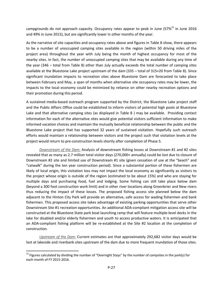campgrounds do not approach capacity. Occupancy rates appear to peak in June (57% $^{15}$  in June 2016 and 49% in June 2015), but are significantly lower in other months of the year.

 As the narrative of site capacities and occupancy rates above and figures in Table 8 show, there appears to be a number of unoccupied camping sites available in the region (within 50 driving miles of the project area) throughout the year with July being the month of highest occupancy for most of the nearby sites. In fact, the number of unoccupied camping sites that may be available during any time of the year (346 – total from Table 8) other than July actually exceeds the total number of camping sites available at the Bluestone Lake project upstream of the dam (335 – total of 315+20 from Table 8). Since significant inundation impacts to recreation sites above Bluestone Dam are forecasted to take place between February and May, a span of months when alternative site occupancy rates may be lower, the impacts to the local economy could be minimized by reliance on other nearby recreation options and their promotion during this period.

 A sustained media‐based outreach program supported by the District, the Bluestone Lake project staff and the Public Affairs Office could be established to inform visitors of potential high pools at Bluestone Lake and that alternative camping sites (as displayed in Table 8 ) may be available. Providing contact information for each of the alternative sites would give potential visitors sufficient information to make informed vacation choices and maintain the mutually beneficial relationship between the public and the Bluestone Lake project that has supported 32 years of sustained visitation. Hopefully such outreach efforts would maintain a relationship between visitors and the project such that visitation levels at the project would return to pre‐construction levels shortly after completion of Phase 5.

 *Downstream of the Dam:* Analysis of downstream fishing losses at Downstream #1 and #2 sites revealed that as many as 2.7 million total visitor days (270,000+ annually) could be lost due to closure of Downstream #2 site and limited use of Downstream #1 site (given cessation of use at the "beach" and "catwalk" during the ten year construction period). Since a substantial portion of these fishermen are likely of local origin, this visitation loss may not impact the local economy as significantly as visitors to the project whose origin is outside of the region (estimated to be about 15%) and who are staying for multiple days and purchasing food, fuel and lodging. Some fishing can still take place below dam (beyond a 300 foot construction work limit) and in other river locations along Greenbrier and New rivers thus reducing the impact of these losses. The proposed fishing access site planned below the dam adjacent to the Hinton City Park will provide an alternative, safe access for wading fishermen and bank fishermen. This proposed access site takes advantage of existing parking opportunities that serve other Downstream Site #1 recreation opportunities. An additional ADA‐compliant mitigation access site will be constructed at the Bluestone State park boat launching ramp that will feature multiple‐level decks in the lake for disabled and/or elderly fishermen and youth to access productive waters. It is anticipated that an ADA‐compliant fishing platform will be re‐established at the Site #2 location at the completion of construction.

 *Upstream of the Dam:* Current estimates are that approximately 292,682 visitor days would be lost at lakeside and riverbank sites upstream of the dam due to more frequent inundation of those sites.

<sup>&</sup>lt;sup>15</sup> Figures calculated by dividing the number of "Overnight Stays" by the number of campsites in the park(s) for each month of FY 2015‐2016.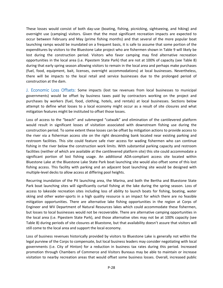These losses would consist of both day‐use (boating, fishing, picnicking, sightseeing, and hiking) and overnight use (camping) visitors. Given that the most significant recreation impacts are expected to occur between February and May (prime fishing months) and that several of the more popular boat launching ramps would be inundated on a frequent basis, it is safe to assume that some portion of the expenditures by visitors to the Bluestone Lake project who are fishermen shown in Table 9 will likely be lost during the construction period. Visitors who favor camping may find alternative recreation opportunities in the local area (i.e. Pipestem State Park) that are not at 100% of capacity (see Table 8) during that early spring season allowing visitors to remain in the local area and perhaps make purchases (fuel, food, equipment, bait, licenses, overnight accommodations) at local businesses. Nevertheless, there will be impacts to the local retail and service businesses due to the prolonged period of construction at the dam.

 J. Economic Loss Offsets: Some impacts (lost tax revenues from local businesses to municipal governments) would be offset by business taxes paid by contractors working on the project and purchases by workers (fuel, food, clothing, hotels, and rentals) at local businesses. Sections below attempt to define what losses to a local economy might occur as a result of site closures and what mitigation features might be instituted to offset those losses.

 Loss of access to the "beach" and submerged "catwalk" and elimination of the cantilevered platform would result in significant losses of visitation associated with downstream fishing use during the construction period. To some extent these losses can be offset by mitigation actions to provide access to the river via a fisherman access site on the right descending bank located near existing parking and restroom facilities. This site could feature safe river access for wading fishermen who can continue fishing in the river below the construction work limits. With substantial parking capacity and restroom facilities (neither of which are available at the cantilevered platform site) this site could accommodate a significant portion of lost fishing usage. An additional ADA‐compliant access site located within Bluestone Lake at the Bluestone Lake State Park boat launching site would also offset some of this lost fishing access. This facility with parking and an adjacent boat launching site would be designed with multiple‐level decks to allow access at differing pool heights.

 Recurring inundation of the Pit launching area, the Marina, and both the Bertha and Bluestone State Park boat launching sites will significantly curtail fishing at the lake during the spring season. Loss of access to lakeside recreation sites including loss of ability to launch boats for fishing, boating, water skiing and other water‐sports in a high quality resource is an impact for which there are no feasible mitigation opportunities. There are alternative lake fishing opportunities in the region at Corps of Engineer and WV Department of Natural Resources lakes which could accommodate these fishermen, but losses to local businesses would not be recoverable. There are alternative camping opportunities in the local area (i.e. Pipestem State Park), and those alternative sites may not be at 100% capacity (see Table 8) during periods of site closures at Bluestone, but that availability doesn't assure that visitors will still come to the local area and support the local economy.

 Loss of business revenues historically provided by visitors to Bluestone Lake is generally not within the legal purview of the Corps to compensate, but local business leaders may consider negotiating with local governments (i.e. City of Hinton) for a reduction in business tax rates during this period. Increased promotion through Chambers of Commerce and Visitors Bureaus may be able to maintain or increase visitation to nearby recreation areas that would offset some business losses. Overall, increased public